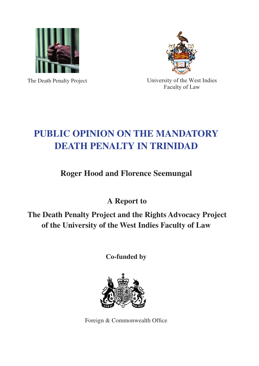

The Death Penalty Project



University of the West Indies Faculty of Law

# **PUBLIC OPINION ON THE MANDATORY DEATH PENALTY IN TRINIDAD**

**Roger Hood and Florence Seemungal**

 **A Report to**

 **The Death Penalty Project and the Rights Advocacy Project of the University of the West Indies Faculty of Law**

**Co-funded by** 



Foreign & Commonwealth Office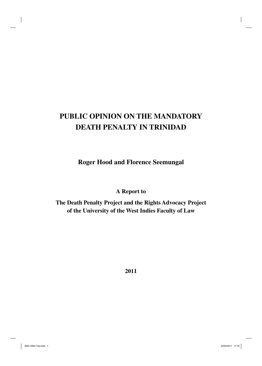# **PUBLIC OPINION ON THE MANDATORY DEATH PENALTY IN TRINIDAD**

**Roger Hood and Florence Seemungal**

**A Report to**

**The Death Penalty Project and the Rights Advocacy Project of the University of the West Indies Faculty of Law**

**2011**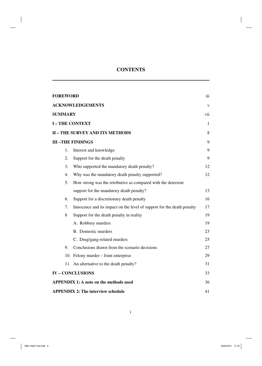# **CONTENTS**

| <b>FOREWORD</b> |                                                                        | iii          |
|-----------------|------------------------------------------------------------------------|--------------|
|                 | <b>ACKNOWLEDGEMENTS</b>                                                | $\mathbf{V}$ |
| <b>SUMMARY</b>  |                                                                        | vii          |
|                 | <b>I-THE CONTEXT</b>                                                   | $\mathbf{1}$ |
|                 | <b>II - THE SURVEY AND ITS METHODS</b>                                 | 8            |
|                 | <b>III-THE FINDINGS</b>                                                | 9            |
| 1.              | Interest and knowledge                                                 | 9            |
| 2.              | Support for the death penalty                                          | 9            |
| 3.              | Who supported the mandatory death penalty?                             | 12           |
| 4.              | Why was the mandatory death penalty supported?                         | 12           |
| 5.              | How strong was the retributive as compared with the deterrent          |              |
|                 | support for the mandatory death penalty?                               | 13           |
| 6.              | Support for a discretionary death penalty                              | 16           |
| 7.              | Innocence and its impact on the level of support for the death penalty | 17           |
| 8               | Support for the death penalty in reality                               | 19           |
|                 | A. Robbery murders                                                     | 19           |
|                 | B. Domestic murders                                                    | 23           |
|                 | C. Drug/gang-related murders                                           | 25           |
| 9.              | Conclusions drawn from the scenario decisions                          | 27           |
|                 | 10. Felony murder – Joint enterprise                                   | 29           |
|                 | 11. An alternative to the death penalty?                               | 31           |
|                 | <b>IV-CONCLUSIONS</b>                                                  | 33           |
|                 | <b>APPENDIX 1: A note on the methods used</b>                          | 36           |
|                 | <b>APPENDIX 2: The interview schedule</b>                              | 41           |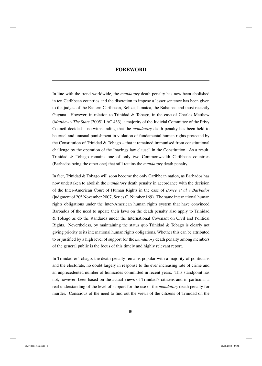In line with the trend worldwide, the *mandatory* death penalty has now been abolished in ten Caribbean countries and the discretion to impose a lesser sentence has been given to the judges of the Eastern Caribbean, Belize, Jamaica, the Bahamas and most recently Guyana. However, in relation to Trinidad & Tobago, in the case of Charles Matthew (*Matthew v The State* [2005] 1 AC 433), a majority of the Judicial Committee of the Privy Council decided – notwithstanding that the *mandatory* death penalty has been held to be cruel and unusual punishment in violation of fundamental human rights protected by the Constitution of Trinidad  $\&$  Tobago – that it remained immunised from constitutional challenge by the operation of the "savings law clause" in the Constitution. As a result, Trinidad & Tobago remains one of only two Commonwealth Caribbean countries (Barbados being the other one) that still retains the *mandatory* death penalty.

In fact, Trinidad & Tobago will soon become the only Caribbean nation, as Barbados has now undertaken to abolish the *mandatory* death penalty in accordance with the decision of the Inter-American Court of Human Rights in the case of *Boyce et al v Barbados* (judgment of  $20<sup>th</sup>$  November 2007, Series C. Number 169). The same international human rights obligations under the Inter-American human rights system that have convinced Barbados of the need to update their laws on the death penalty also apply to Trinidad & Tobago as do the standards under the International Covenant on Civil and Political Rights. Nevertheless, by maintaining the status quo Trinidad & Tobago is clearly not giving priority to its international human rights obligations. Whether this can be attributed to or justified by a high level of support for the *mandatory* death penalty among members of the general public is the focus of this timely and highly relevant report.

In Trinidad & Tobago, the death penalty remains popular with a majority of politicians and the electorate, no doubt largely in response to the ever increasing rate of crime and an unprecedented number of homicides committed in recent years. This standpoint has not, however, been based on the actual views of Trinidad's citizens and in particular a real understanding of the level of support for the use of the *mandatory* death penalty for murder. Conscious of the need to find out the views of the citizens of Trinidad on the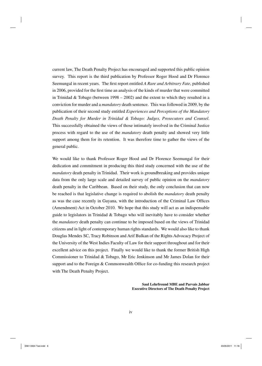current law, The Death Penalty Project has encouraged and supported this public opinion survey. This report is the third publication by Professor Roger Hood and Dr Florence Seemungal in recent years. The first report entitled *A Rare and Arbitrary Fate*, published in 2006, provided for the first time an analysis of the kinds of murder that were committed in Trinidad & Tobago (between  $1998 - 2002$ ) and the extent to which they resulted in a conviction for murder and a *mandatory* death sentence. This was followed in 2009, by the publication of their second study entitled *Experiences and Perceptions of the Mandatory Death Penalty for Murder in Trinidad & Tobago: Judges, Prosecutors and Counsel*. This successfully obtained the views of those intimately involved in the Criminal Justice process with regard to the use of the *mandatory* death penalty and showed very little support among them for its retention. It was therefore time to gather the views of the general public.

We would like to thank Professor Roger Hood and Dr Florence Seemungal for their dedication and commitment in producing this third study concerned with the use of the *mandatory* death penalty in Trinidad. Their work is groundbreaking and provides unique data from the only large scale and detailed survey of public opinion on the *mandatory* death penalty in the Caribbean. Based on their study, the only conclusion that can now be reached is that legislative change is required to abolish the *mandatory* death penalty as was the case recently in Guyana, with the introduction of the Criminal Law Offices (Amendment) Act in October 2010. We hope that this study will act as an indispensable guide to legislators in Trinidad & Tobago who will inevitably have to consider whether the *mandatory* death penalty can continue to be imposed based on the views of Trinidad citizens and in light of contemporary human rights standards. We would also like to thank Douglas Mendes SC, Tracy Robinson and Arif Bulkan of the Rights Advocacy Project of the University of the West Indies Faculty of Law for their support throughout and for their excellent advice on this project. Finally we would like to thank the former British High Commissioner to Trinidad & Tobago, Mr Eric Jenkinson and Mr James Dolan for their support and to the Foreign  $&$  Commonwealth Office for co-funding this research project with The Death Penalty Project.

> **Saul Lehrfreund MBE and Parvais Jabbar Executive Directors of The Death Penalty Project**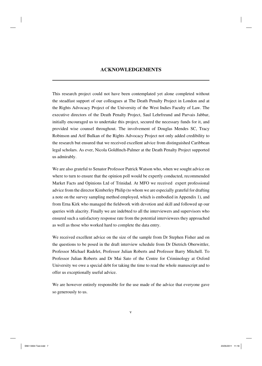# **ACKNOWLEDGEMENTS**

This research project could not have been contemplated yet alone completed without the steadfast support of our colleagues at The Death Penalty Project in London and at the Rights Advocacy Project of the University of the West Indies Faculty of Law. The executive directors of the Death Penalty Project, Saul Lehrfreund and Parvais Jabbar, initially encouraged us to undertake this project, secured the necessary funds for it, and provided wise counsel throughout. The involvement of Douglas Mendes SC, Tracy Robinson and Arif Bulkan of the Rights Advocacy Project not only added credibility to the research but ensured that we received excellent advice from distinguished Caribbean legal scholars. As ever, Nicola Goldfinch-Palmer at the Death Penalty Project supported us admirably.

We are also grateful to Senator Professor Patrick Watson who, when we sought advice on where to turn to ensure that the opinion poll would be expertly conducted, recommended Market Facts and Opinions Ltd of Trinidad. At MFO we received expert professional advice from the director Kimberley Philip (to whom we are especially grateful for drafting a note on the survey sampling method employed, which is embodied in Appendix 1), and from Erna Kirk who managed the fieldwork with devotion and skill and followed up our queries with alacrity. Finally we are indebted to all the interviewers and supervisors who ensured such a satisfactory response rate from the potential interviewees they approached as well as those who worked hard to complete the data entry.

We received excellent advice on the size of the sample from Dr Stephen Fisher and on the questions to be posed in the draft interview schedule from Dr Dietrich Oberwittler, Professor Michael Radelet, Professor Julian Roberts and Professor Barry Mitchell. To Professor Julian Roberts and Dr Mai Sato of the Centre for Criminology at Oxford University we owe a special debt for taking the time to read the whole manuscript and to offer us exceptionally useful advice.

We are however entirely responsible for the use made of the advice that everyone gave so generously to us.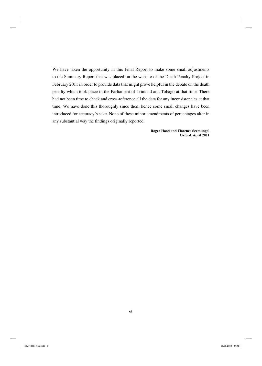We have taken the opportunity in this Final Report to make some small adjustments to the Summary Report that was placed on the website of the Death Penalty Project in February 2011 in order to provide data that might prove helpful in the debate on the death penalty which took place in the Parliament of Trinidad and Tobago at that time. There had not been time to check and cross-reference all the data for any inconsistencies at that time. We have done this thoroughly since then; hence some small changes have been introduced for accuracy's sake. None of these minor amendments of percentages alter in any substantial way the findings originally reported.

> **Roger Hood and Florence Seemungal Oxford, April 2011**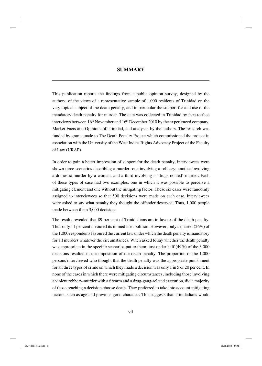# **SUMMARY**

This publication reports the findings from a public opinion survey, designed by the authors, of the views of a representative sample of 1,000 residents of Trinidad on the very topical subject of the death penalty, and in particular the support for and use of the mandatory death penalty for murder. The data was collected in Trinidad by face-to-face interviews between  $16<sup>th</sup>$  November and  $16<sup>th</sup>$  December 2010 by the experienced company, Market Facts and Opinions of Trinidad, and analysed by the authors. The research was funded by grants made to The Death Penalty Project which commissioned the project in association with the University of the West Indies Rights Advocacy Project of the Faculty of Law (URAP).

In order to gain a better impression of support for the death penalty, interviewees were shown three scenarios describing a murder: one involving a robbery, another involving a domestic murder by a woman, and a third involving a 'drugs-related' murder. Each of these types of case had two examples, one in which it was possible to perceive a mitigating element and one without the mitigating factor. These six cases were randomly assigned to interviewees so that 500 decisions were made on each case. Interviewees were asked to say what penalty they thought the offender deserved. Thus, 1,000 people made between them 3,000 decisions.

The results revealed that 89 per cent of Trinidadians are in favour of the death penalty. Thus only 11 per cent favoured its immediate abolition. However, only a quarter (26%) of the 1,000 respondents favoured the current law under which the death penalty is mandatory for all murders whatever the circumstances. When asked to say whether the death penalty was appropriate in the specific scenarios put to them, just under half  $(49\%)$  of the 3,000 decisions resulted in the imposition of the death penalty. The proportion of the 1,000 persons interviewed who thought that the death penalty was the appropriate punishment for all three types of crime on which they made a decision was only 1 in 5 or 20 per cent. In none of the cases in which there were mitigating circumstances, including those involving a violent robbery-murder with a firearm and a drug-gang-related execution, did a majority of those reaching a decision choose death. They preferred to take into account mitigating factors, such as age and previous good character. This suggests that Trinidadians would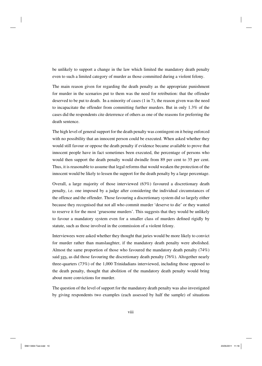be unlikely to support a change in the law which limited the mandatory death penalty even to such a limited category of murder as those committed during a violent felony.

The main reason given for regarding the death penalty as the appropriate punishment for murder in the scenarios put to them was the need for retribution: that the offender deserved to be put to death. In a minority of cases (1 in 7), the reason given was the need to incapacitate the offender from committing further murders. But in only 1.3% of the cases did the respondents cite deterrence of others as one of the reasons for preferring the death sentence.

The high level of general support for the death penalty was contingent on it being enforced with no possibility that an innocent person could be executed. When asked whether they would still favour or oppose the death penalty if evidence became available to prove that innocent people have in fact sometimes been executed, the percentage of persons who would then support the death penalty would dwindle from 89 per cent to 35 per cent. Thus, it is reasonable to assume that legal reforms that would weaken the protection of the innocent would be likely to lessen the support for the death penalty by a large percentage.

Overall, a large majority of those interviewed (63%) favoured a discretionary death penalty, i.e. one imposed by a judge after considering the individual circumstances of the offence and the offender. Those favouring a discretionary system did so largely either because they recognised that not all who commit murder 'deserve to die' or they wanted to reserve it for the most 'gruesome murders'. This suggests that they would be unlikely to favour a mandatory system even for a smaller class of murders defined rigidly by statute, such as those involved in the commission of a violent felony.

Interviewees were asked whether they thought that juries would be more likely to convict for murder rather than manslaughter, if the mandatory death penalty were abolished. Almost the same proportion of those who favoured the mandatory death penalty (74%) said yes, as did those favouring the discretionary death penalty (76%). Altogether nearly three-quarters (73%) of the 1,000 Trinidadians interviewed, including those opposed to the death penalty, thought that abolition of the mandatory death penalty would bring about more convictions for murder.

The question of the level of support for the mandatory death penalty was also investigated by giving respondents two examples (each assessed by half the sample) of situations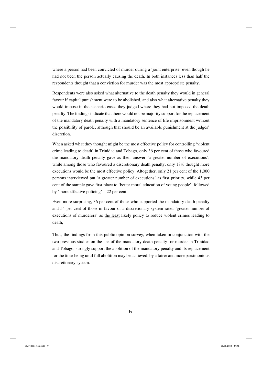where a person had been convicted of murder during a 'joint enterprise' even though he had not been the person actually causing the death. In both instances less than half the respondents thought that a conviction for murder was the most appropriate penalty.

Respondents were also asked what alternative to the death penalty they would in general favour if capital punishment were to be abolished, and also what alternative penalty they would impose in the scenario cases they judged where they had not imposed the death penalty. The findings indicate that there would not be majority support for the replacement of the mandatory death penalty with a mandatory sentence of life imprisonment without the possibility of parole, although that should be an available punishment at the judges' discretion.

When asked what they thought might be the most effective policy for controlling 'violent crime leading to death' in Trinidad and Tobago, only 36 per cent of those who favoured the mandatory death penalty gave as their answer 'a greater number of executions', while among those who favoured a discretionary death penalty, only 18% thought more executions would be the most effective policy. Altogether, only 21 per cent of the 1,000 persons interviewed put 'a greater number of executions' as first priority, while 43 per cent of the sample gave first place to 'better moral education of young people', followed by 'more effective policing' – 22 per cent.

Even more surprising, 36 per cent of those who supported the mandatory death penalty and 54 per cent of those in favour of a discretionary system rated 'greater number of executions of murderers' as the least likely policy to reduce violent crimes leading to death,

Thus, the findings from this public opinion survey, when taken in conjunction with the two previous studies on the use of the mandatory death penalty for murder in Trinidad and Tobago, strongly support the abolition of the mandatory penalty and its replacement for the time-being until full abolition may be achieved, by a fairer and more parsimonious discretionary system.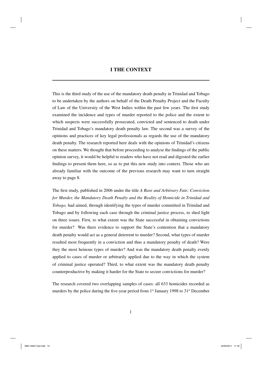This is the third study of the use of the mandatory death penalty in Trinidad and Tobago to be undertaken by the authors on behalf of the Death Penalty Project and the Faculty of Law of the University of the West Indies within the past few years. The first study examined the incidence and types of murder reported to the police and the extent to which suspects were successfully prosecuted, convicted and sentenced to death under Trinidad and Tobago's mandatory death penalty law. The second was a survey of the opinions and practices of key legal professionals as regards the use of the mandatory death penalty. The research reported here deals with the opinions of Trinidad's citizens on these matters. We thought that before proceeding to analyse the findings of the public opinion survey, it would be helpful to readers who have not read and digested the earlier findings to present them here, so as to put this new study into context. Those who are already familiar with the outcome of the previous research may want to turn straight away to page 8.

The first study, published in 2006 under the title *A Rare and Arbitrary Fate: Conviction for Murder, the Mandatory Death Penalty and the Reality of Homicide in Trinidad and Tobago,* had aimed, through identifying the types of murder committed in Trinidad and Tobago and by following each case through the criminal justice process, to shed light on three issues. First, to what extent was the State successful in obtaining convictions for murder? Was there evidence to support the State's contention that a mandatory death penalty would act as a general deterrent to murder? Second, what types of murder resulted most frequently in a conviction and thus a mandatory penalty of death? Were they the most heinous types of murder? And was the mandatory death penalty evenly applied to cases of murder or arbitrarily applied due to the way in which the system of criminal justice operated? Third, to what extent was the mandatory death penalty counterproductive by making it harder for the State to secure convictions for murder?

The research covered two overlapping samples of cases: all 633 homicides recorded as murders by the police during the five-year period from  $1<sup>st</sup>$  January 1998 to  $31<sup>st</sup>$  December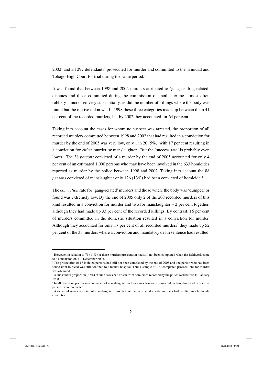$2002<sup>1</sup>$  and all 297 defendants<sup>2</sup> prosecuted for murder and committed to the Trinidad and Tobago High Court for trial during the same period.<sup>3</sup>

It was found that between 1998 and 2002 murders attributed to 'gang or drug-related' disputes and those committed during the commission of another crime – most often robbery – increased very substantially, as did the number of killings where the body was found but the motive unknown. In 1998 these three categories made up between them 41 per cent of the recorded murders, but by 2002 they accounted for 64 per cent.

Taking into account the cases for whom no suspect was arrested, the proportion of all recorded murders committed between 1998 and 2002 that had resulted in a conviction for murder by the end of 2005 was very low, only 1 in 20 (5%), with 17 per cent resulting in a conviction for *either* murder *or* manslaughter. But the 'success rate' is probably even lower. The 38 *persons* convicted of a murder by the end of 2005 accounted for only 4 per cent of an estimated 1,000 persons who may have been involved in the 633 homicides reported as murder by the police between 1998 and 2002. Taking into account the 88 *persons* convicted of manslaughter only 126 (13%) had been convicted of homicide.<sup>4</sup>

The *conviction* rate for 'gang-related' murders and those where the body was 'dumped' or found was extremely low. By the end of 2005 only 2 of the 208 recorded murders of this kind resulted in a conviction for murder and two for manslaughter  $-2$  per cent together, although they had made up 33 per cent of the recorded killings. By contrast, 16 per cent of murders committed in the domestic situation resulted in a conviction for murder. Although they accounted for only 17 per cent of all recorded murders<sup>5</sup> they made up  $52$ per cent of the 33 murders where a conviction and mandatory death sentence had resulted.

<sup>&</sup>lt;sup>1</sup> However, in relation to 71 (11%) of these murders prosecution had still not been completed when the fieldwork came to a conclusion on 31<sup>st</sup> December 2005.<br><sup>2</sup> The prosecution of 17 indicted persons had still not been completed by the end of 2005 and one person who had been

found unfit to plead was still confined to a mental hospital. Thus a sample of 279 completed prosecutions for murder was obtained.

<sup>&</sup>lt;sup>3</sup> A substantial proportion (37%) of such cases had arisen from homicides recorded by the police well before 1st January 1998.

<sup>&</sup>lt;sup>4</sup> In 70 cases one person was convicted of manslaughter, in four cases two were convicted, in two, three and in one five persons were convicted.

<sup>5</sup> Another 24 were convicted of manslaughter: thus 39% of the recorded domestic murders had resulted in a homicide conviction.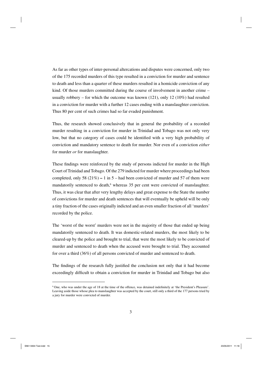As far as other types of inter-personal altercations and disputes were concerned, only two of the 175 recorded murders of this type resulted in a conviction for murder and sentence to death and less than a quarter of these murders resulted in a homicide conviction of any kind. Of those murders committed during the course of involvement in another crime – usually robbery – for which the outcome was known (121), only 12 (10%) had resulted in a conviction for murder with a further 12 cases ending with a manslaughter conviction. Thus 80 per cent of such crimes had so far evaded punishment.

Thus, the research showed conclusively that in general the probability of a recorded murder resulting in a conviction for murder in Trinidad and Tobago was not only very low, but that no category of cases could be identified with a very high probability of conviction and mandatory sentence to death for murder. Nor even of a conviction *either*  for murder *or* for manslaughter.

These findings were reinforced by the study of persons indicted for murder in the High Court of Trinidad and Tobago. Of the 279 indicted for murder where proceedings had been completed, only 58 (21%) **–** 1 in 5 – had been convicted of murder and 57 of them were mandatorily sentenced to death,<sup>6</sup> whereas 35 per cent were convicted of manslaughter. Thus, it was clear that after very lengthy delays and great expense to the State the number of convictions for murder and death sentences that will eventually be upheld will be only a tiny fraction of the cases originally indicted and an even smaller fraction of all 'murders' recorded by the police.

The 'worst of the worst' murders were not in the majority of those that ended up being mandatorily sentenced to death. It was domestic-related murders, the most likely to be cleared-up by the police and brought to trial, that were the most likely to be convicted of murder and sentenced to death when the accused were brought to trial. They accounted for over a third (36%) of all persons convicted of murder and sentenced to death.

The findings of the research fully justified the conclusion not only that it had become exceedingly difficult to obtain a conviction for murder in Trinidad and Tobago but also

<sup>&</sup>lt;sup>6</sup> One, who was under the age of 18 at the time of the offence, was detained indefinitely at 'the President's Pleasure'. Leaving aside those whose plea to manslaughter was accepted by the court, still only a third of the 177 persons tried by a jury for murder were convicted of murder.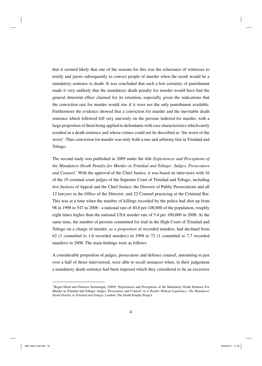that it seemed likely that one of the reasons for this was the reluctance of witnesses to testify and jurors subsequently to convict people of murder when the result would be a mandatory sentence to death. It was concluded that such a low certainty of punishment made it very unlikely that the mandatory death penalty for murder would have had the general deterrent effect claimed for its retention, especially given the indications that the conviction rate for murder would rise if it were not the only punishment available. Furthermore the evidence showed that a conviction for murder and the inevitable death sentence which followed fell very unevenly on the persons indicted for murder, with a large proportion of them being applied to defendants with case characteristics which rarely resulted in a death sentence and whose crimes could not be described as 'the worst of the worst'. Thus conviction for murder was truly both a rare and arbitrary fate in Trinidad and Tobago.

The second study was published in 2009 under the title *Experiences and Perceptions of the Mandatory Death Penalty for Murder in Trinidad and Tobago: Judges, Prosecutors*  and Counsel.<sup>7</sup> With the approval of the Chief Justice, it was based on interviews with 16 of the 19 criminal court judges of the Supreme Court of Trinidad and Tobago, including five Justices of Appeal and the Chief Justice; the Director of Public Prosecutions and all 12 lawyers in the Office of the Director; and 22 Counsel practicing at the Criminal Bar. This was at a time when the number of killings recorded by the police had shot up from 98 in 1998 to 547 in 2008 - a national rate of 40.8 per 100,000 of the population, roughly eight times higher than the national USA murder rate of 5.4 per 100,000 in 2008. At the same time, the number of persons committed for trial in the High Court of Trinidad and Tobago on a charge of murder, *as a proportion* of recorded murders, had declined from 62 (1 committal to 1.6 recorded murders) in 1998 to 72 (1 committal to 7.7 recorded murders) in 2008. The main findings were as follows:

A considerable proportion of judges, prosecutors and defence counsel, amounting to just over a half of those interviewed, were able to recall instances when, in their judgement a mandatory death sentence had been imposed which they considered to be an excessive

<sup>7</sup> Roger Hood and Florence Seemungal, (2009) 'Experiences and Perceptions of the Mandatory Death Sentence For Murder in Trinidad and Tobago: Judges, Prosecutors and Counsel' in *A Penalty Without Legitimacy: The Mandatory Death Penalty in Trinidad and Tobago,* London: The Death Penalty Project*.*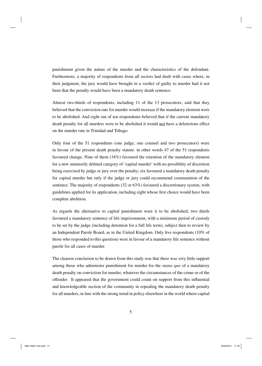punishment given the nature of the murder and the characteristics of the defendant. Furthermore, a majority of respondents from all sectors had dealt with cases where, in their judgment, the jury would have brought in a verdict of guilty to murder had it not been that the penalty would have been a mandatory death sentence.

Almost two-thirds of respondents, including 11 of the 13 prosecutors, said that they believed that the conviction rate for murder would increase if the mandatory element were to be abolished. And eight out of ten respondents believed that if the current mandatory death penalty for all murders were to be abolished it would not have a deleterious effect on the murder rate in Trinidad and Tobago.

Only four of the 51 respondents (one judge, one counsel and two prosecutors) were in favour of the present death penalty statute: in other words 47 of the 51 respondents favoured change, Nine of them (18%) favoured the retention of the mandatory element for a new statutorily defined category of 'capital murder' with no possibility of discretion being exercised by judge or jury over the penalty; six favoured a mandatory death penalty for capital murder but only if the judge or jury could recommend commutation of the sentence. The majority of respondents (32 or 63%) favoured a discretionary system, with guidelines applied for its application, including eight whose first choice would have been complete abolition.

As regards the alternative to capital punishment were it to be abolished, two thirds favoured a mandatory sentence of life imprisonment, with a minimum period of custody to be set by the judge (including detention for a full life term), subject then to review by an Independent Parole Board, as in the United Kingdom. Only five respondents (10% of those who responded to this question) were in favour of a mandatory life sentence without parole for all cases of murder.

The clearest conclusion to be drawn from this study was that there was very little support among those who administer punishment for murder for the *status quo* of a mandatory death penalty on conviction for murder, whatever the circumstances of the crime or of the offender. It appeared that the government could count on support from this influential and knowledgeable section of the community in repealing the mandatory death penalty for all murders, in line with the strong trend in policy elsewhere in the world where capital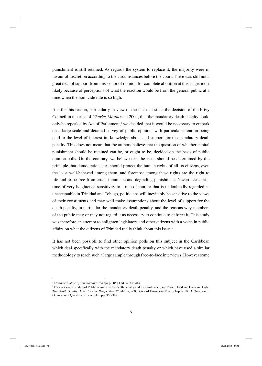punishment is still retained. As regards the system to replace it, the majority were in favour of discretion according to the circumstances before the court. There was still not a great deal of support from this sector of opinion for complete abolition at this stage, most likely because of perceptions of what the reaction would be from the general public at a time when the homicide rate is so high.

It is for this reason, particularly in view of the fact that since the decision of the Privy Council in the case of *Charles Matthew* in 2004, that the mandatory death penalty could only be repealed by Act of Parliament,<sup>8</sup> we decided that it would be necessary to embark on a large-scale and detailed survey of public opinion, with particular attention being paid to the level of interest in, knowledge about and support for the mandatory death penalty. This does not mean that the authors believe that the question of whether capital punishment should be retained can be, or ought to be, decided on the basis of public opinion polls. On the contrary, we believe that the issue should be determined by the principle that democratic states should protect the human rights of all its citizens, even the least well-behaved among them, and foremost among these rights are the right to life and to be free from cruel, inhumane and degrading punishment. Nevertheless, at a time of very heightened sensitivity to a rate of murder that is undoubtedly regarded as unacceptable in Trinidad and Tobago, politicians will inevitably be sensitive to the views of their constituents and may well make assumptions about the level of support for the death penalty, in particular the mandatory death penalty, and the reasons why members of the public may or may not regard it as necessary to continue to enforce it. This study was therefore an attempt to enlighten legislators and other citizens with a voice in public affairs on what the citizens of Trinidad really think about this issue.<sup>9</sup>

It has not been possible to find other opinion polls on this subject in the Caribbean which deal specifically with the mandatory death penalty or which have used a similar methodology to reach such a large sample through face-to-face interviews. However some

<sup>8</sup> *Matthew v. State of Trinidad and Tobago* [2005] 1 AC 433 at 447.

<sup>&</sup>lt;sup>9</sup> For a review of studies of Public opinion on the death penalty and its significance, see Roger Hood and Carolyn Hoyle, *The Death Penalty: A World-wide Perspective,* 4th edition, 2008, Oxford University Press, chapter 10, 'A Question of Opinion or a Question of Principle', pp. 350-382.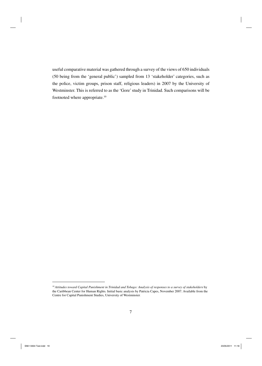useful comparative material was gathered through a survey of the views of 650 individuals (50 being from the 'general public') sampled from 13 'stakeholder' categories, such as the police, victim groups, prison staff, religious leaders) in 2007 by the University of Westminster. This is referred to as the 'Gore' study in Trinidad. Such comparisons will be footnoted where appropriate.10

<sup>10</sup> *Attitudes toward Capital Punishment in Trinidad and Tobago: Analysis of responses to a survey of stakeholders* by the Caribbean Center for Human Rights*.* Initial basic analysis by Patricia Capes, November 2007. Available from the Centre for Capital Punishment Studies, University of Westminster.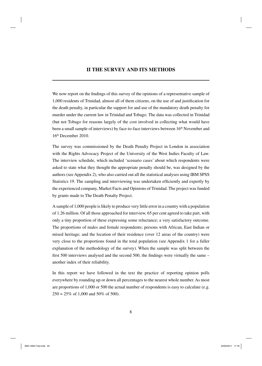# **II THE SURVEY AND ITS METHODS**

We now report on the findings of this survey of the opinions of a representative sample of 1,000 residents of Trinidad, almost all of them citizens, on the use of and justification for the death penalty, in particular the support for and use of the mandatory death penalty for murder under the current law in Trinidad and Tobago. The data was collected in Trinidad (but not Tobago for reasons largely of the cost involved in collecting what would have been a small sample of interviews) by face-to-face interviews between 16<sup>th</sup> November and 16th December 2010.

The survey was commissioned by the Death Penalty Project in London in association with the Rights Advocacy Project of the University of the West Indies Faculty of Law. The interview schedule, which included 'scenario cases' about which respondents were asked to state what they thought the appropriate penalty should be, was designed by the authors (see Appendix 2), who also carried out all the statistical analyses using IBM SPSS Statistics 19. The sampling and interviewing was undertaken efficiently and expertly by the experienced company, Market Facts and Opinions of Trinidad. The project was funded by grants made to The Death Penalty Project.

A sample of 1,000 people is likely to produce very little error in a country with a population of 1.26 million. Of all those approached for interview, 65 per cent agreed to take part, with only a tiny proportion of these expressing some reluctance; a very satisfactory outcome. The proportions of males and female respondents; persons with African, East Indian or mixed heritage; and the location of their residence (over 12 areas of the country) were very close to the proportions found in the total population (see Appendix 1 for a fuller explanation of the methodology of the survey). When the sample was split between the first 500 interviews analysed and the second 500, the findings were virtually the same  $$ another index of their reliability.

In this report we have followed in the text the practice of reporting opinion polls everywhere by rounding up or down all percentages to the nearest whole number. As most are proportions of 1,000 or 500 the actual number of respondents is easy to calculate (e.g.  $250 = 25\%$  of 1,000 and 50% of 500).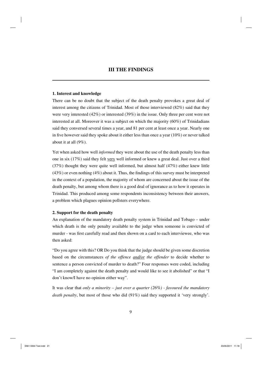# **III THE FINDINGS**

## **1. Interest and knowledge**

There can be no doubt that the subject of the death penalty provokes a great deal of interest among the citizens of Trinidad. Most of those interviewed (82%) said that they were very interested (42%) or interested (39%) in the issue. Only three per cent were not interested at all. Moreover it was a subject on which the majority (60%) of Trinidadians said they conversed several times a year, and 81 per cent at least once a year. Nearly one in five however said they spoke about it either less than once a year  $(10\%)$  or never talked about it at all (9%).

Yet when asked how well *informed* they were about the use of the death penalty less than one in six (17%) said they felt very well informed or knew a great deal. Just over a third (37%) thought they were quite well informed, but almost half (47%) either knew little  $(43%)$  or even nothing  $(4%)$  about it. Thus, the findings of this survey must be interpreted in the context of a population, the majority of whom are concerned about the issue of the death penalty, but among whom there is a good deal of ignorance as to how it operates in Trinidad. This produced among some respondents inconsistency between their answers, a problem which plagues opinion pollsters everywhere.

## **2. Support for the death penalty**

An explanation of the mandatory death penalty system in Trinidad and Tobago – under which death is the only penalty available to the judge when someone is convicted of murder - was first carefully read and then shown on a card to each interviewee, who was then asked:

"Do you agree with this? OR Do you think that the judge should be given some discretion based on the circumstances *of the offence and/or the offender* to decide whether to sentence a person convicted of murder to death?" Four responses were coded, including "I am completely against the death penalty and would like to see it abolished" or that "I don't know/I have no opinion either way".

It was clear that *only a minority – just over a quarter (26%) - favoured the mandatory death penalty*, but most of those who did (91%) said they supported it 'very strongly'.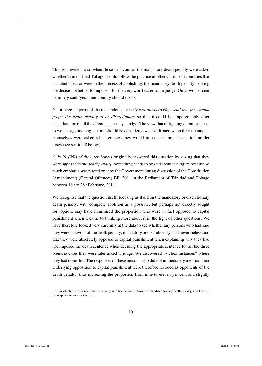This was evident also when those in favour of the mandatory death penalty were asked whether Trinidad and Tobago should follow the practice of other Caribbean countries that had abolished, or were in the process of abolishing, the mandatory death penalty, leaving the decision whether to impose it for the very worst cases to the judge. Only two per cent definitely said 'yes' their country should do so.

Yet a large majority of the respondents - *nearly two-thirds (63%) - said that they would prefer the death penalty to be discretionary* so that it could be imposed only after consideration of all the circumstances by a judge. The view that mitigating circumstances, as well as aggravating factors, should be considered was confirmed when the respondents themselves were asked what sentence they would impose on three 'scenario' murder cases (see section 8 below).

*Only 91 (9%) of the interviewees* originally answered this question by saying that they were *opposed to the death penalty*. Something needs to be said about this figure because so much emphasis was placed on it by the Government during discussion of the Constitution (Amendment) (Capital Offences) Bill 2011 in the Parliament of Trinidad and Tobago between  $18<sup>th</sup>$  to  $28<sup>th</sup>$  February, 2011.

We recognise that the question itself, focusing as it did on the mandatory or discretionary death penalty, with complete abolition as a possible, but perhaps not directly sought for, option, may have minimised the proportion who were in fact opposed to capital punishment when it came to thinking more about it in the light of other questions. We have therefore looked very carefully at the data to see whether any persons who had said they were in favour of the death penalty, mandatory or discretionary, had nevertheless said that they were absolutely opposed to capital punishment when explaining why they had not imposed the death sentence when deciding the appropriate sentence for all the three scenario cases they were later asked to judge. We discovered  $17$  clear instances<sup>11</sup> where they had done this. The responses of these persons who did not immediately mention their underlying opposition to capital punishment were therefore recoded as opponents of the death penalty, thus increasing the proportion from nine to eleven per cent and slightly

<sup>&</sup>lt;sup>11</sup> 16 in which the respondent had originally said he/she was in favour of the discretionary death penalty, and 1 where the respondent was 'not sure'.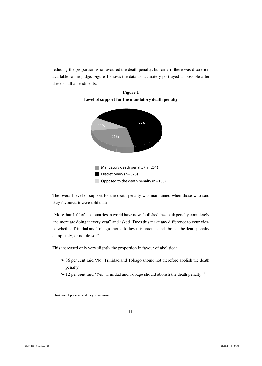reducing the proportion who favoured the death penalty, but only if there was discretion available to the judge. Figure 1 shows the data as accurately portrayed as possible after these small amendments.





The overall level of support for the death penalty was maintained when those who said they favoured it were told that:

"More than half of the countries in world have now abolished the death penalty completely and more are doing it every year" and asked "Does this make any difference to your view on whether Trinidad and Tobago should follow this practice and abolish the death penalty completely, or not do so?"

This increased only very slightly the proportion in favour of abolition:

- $> 86$  per cent said 'No' Trinidad and Tobago should not therefore abolish the death penalty
- $>$  12 per cent said 'Yes' Trinidad and Tobago should abolish the death penalty.<sup>12</sup>

<sup>&</sup>lt;sup>12</sup> Just over 1 per cent said they were unsure.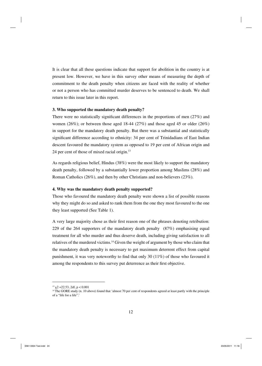It is clear that all these questions indicate that support for abolition in the country is at present low. However, we have in this survey other means of measuring the depth of commitment to the death penalty when citizens are faced with the reality of whether or not a person who has committed murder deserves to be sentenced to death. We shall return to this issue later in this report.

## **3. Who supported the mandatory death penalty?**

There were no statistically significant differences in the proportions of men  $(27%)$  and women (26%); or between those aged 18-44 (27%) and those aged 45 or older (26%) in support for the mandatory death penalty. But there was a substantial and statistically significant difference according to ethnicity: 34 per cent of Trinidadians of East Indian descent favoured the mandatory system as opposed to 19 per cent of African origin and 24 per cent of those of mixed racial origin.13

As regards religious belief, Hindus (38%) were the most likely to support the mandatory death penalty, followed by a substantially lower proportion among Muslims (28%) and Roman Catholics (26%), and then by other Christians and non-believers (23%).

## **4. Why was the mandatory death penalty supported?**

Those who favoured the mandatory death penalty were shown a list of possible reasons why they might do so and asked to rank them from the one they most favoured to the one they least supported (See Table 1).

A very large majority chose as their first reason one of the phrases denoting retribution: 229 of the 264 supporters of the mandatory death penalty (87%) emphasising equal treatment for all who murder and thus deserve death, including giving satisfaction to all relatives of the murdered victims.14 Given the weight of argument by those who claim that the mandatory death penalty is necessary to get maximum deterrent effect from capital punishment, it was very noteworthy to find that only 30  $(11\%)$  of those who favoured it among the respondents to this survey put deterrence as their first objective.

 $13 \chi$ 2 = 22.53, 2df, p < 0.001

<sup>&</sup>lt;sup>14</sup> The GORE study (n. 10 above) found that 'almost 70 per cent of respondents agreed at least partly with the principle of a "life for a life".'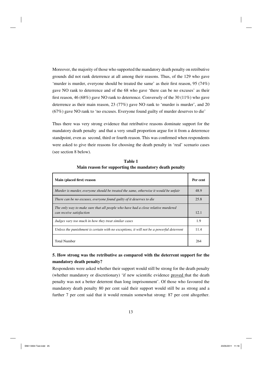Moreover, the majority of those who supported the mandatory death penalty on retributive grounds did not rank deterrence at all among their reasons. Thus, of the 129 who gave 'murder is murder, everyone should be treated the same' as their first reason,  $95(74%)$ gave NO rank to deterrence and of the 68 who gave 'there can be no excuses' as their first reason, 46 (68%) gave NO rank to deterrence. Conversely of the 30 (11%) who gave deterrence as their main reason, 23 (77%) gave NO rank to 'murder is murder', and 20 (67%) gave NO rank to 'no excuses. Everyone found guilty of murder deserves to die'

Thus there was very strong evidence that retributive reasons dominate support for the mandatory death penalty and that a very small proportion argue for it from a deterrence standpoint, even as second, third or fourth reason. This was confirmed when respondents were asked to give their reasons for choosing the death penalty in 'real' scenario cases (see section 8 below).

| Main (placed first) reason                                                                                   | Per cent |
|--------------------------------------------------------------------------------------------------------------|----------|
| Murder is murder, everyone should be treated the same, otherwise it would be unfair                          | 48.9     |
| There can be no excuses, everyone found guilty of it deserves to die                                         | 25.8     |
| The only way to make sure that all people who have had a close relative murdered<br>can receive satisfaction | 12.1     |
| Judges vary too much in how they treat similar cases                                                         | 1.9      |
| Unless the punishment is certain with no exceptions, it will not be a powerful deterrent                     | 11.4     |
| <b>Total Number</b>                                                                                          | 264      |

**Table 1 Main reason for supporting the mandatory death penalty**

# **5. How strong was the retributive as compared with the deterrent support for the mandatory death penalty?**

Respondents were asked whether their support would still be strong for the death penalty (whether mandatory or discretionary) 'if new scientific evidence proved that the death penalty was not a better deterrent than long imprisonment'. Of those who favoured the mandatory death penalty 80 per cent said their support would still be as strong and a further 7 per cent said that it would remain somewhat strong: 87 per cent altogether.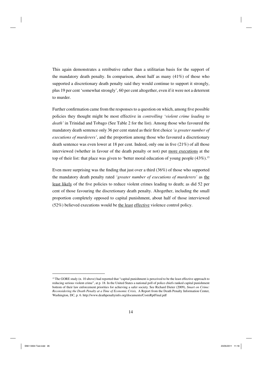This again demonstrates a retributive rather than a utilitarian basis for the support of the mandatory death penalty. In comparison, about half as many  $(41\%)$  of those who supported a discretionary death penalty said they would continue to support it strongly, plus 19 per cent 'somewhat strongly', 60 per cent altogether, even if it were not a deterrent to murder.

Further confirmation came from the responses to a question on which, among five possible policies they thought might be most effective in *controlling 'violent crime leading to death'* in Trinidad and Tobago (See Table 2 for the list). Among those who favoured the mandatory death sentence only 36 per cent stated as their first choice *'a greater number of executions of murderers'*, and the proportion among those who favoured a discretionary death sentence was even lower at 18 per cent. Indeed, only one in five  $(21\%)$  of all those interviewed (whether in favour of the death penalty or not) put more executions at the top of their list: that place was given to 'better moral education of young people  $(43\%)$ <sup>15</sup>

Even more surprising was the finding that just over a third  $(36%)$  of those who supported the mandatory death penalty rated *'greater number of executions of murderers'* as the least likely of the five policies to reduce violent crimes leading to death; as did 52 per cent of those favouring the discretionary death penalty. Altogether, including the small proportion completely opposed to capital punishment, about half of those interviewed (52%) believed executions would be the least effective violence control policy.

<sup>&</sup>lt;sup>15</sup> The GORE study (n. 10 above) had reported that "capital punishment is perceived to be the least effective approach to reducing serious violent crime", at p. 18. In the United States a national poll of police chiefs ranked capital punishment bottom of their law enforcement priorities for achieving a safer society. See Richard Dieter (2009), *Smart on Crime: Reconsidering the Death Penalty at a Time of Economic Crisis,* A Report from the Death Penalty Information Center, Washington, DC, p. 6. http://www.deathpenaltyinfo.org/documents/CostsRptFinal.pdf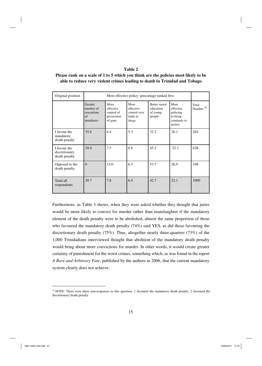# **Table 2**

| Please rank on a scale of 1 to 5 which you think are the policies most likely to be |  |  |
|-------------------------------------------------------------------------------------|--|--|
| able to reduce very violent crimes leading to death in Trinidad and Tobago          |  |  |

| Original position                              |                                                       | Most effective policy: percentage ranked first           |                                                        |                                                 |                                                                      |                      |
|------------------------------------------------|-------------------------------------------------------|----------------------------------------------------------|--------------------------------------------------------|-------------------------------------------------|----------------------------------------------------------------------|----------------------|
|                                                | Greater<br>number of<br>executions<br>of<br>murderers | More<br>effective<br>control of<br>possession<br>of guns | More<br>effective<br>control over<br>trade in<br>drugs | Better moral<br>education<br>of young<br>people | More<br>effective<br>policing<br>to bring<br>criminals to<br>justice | Total<br>Number $16$ |
| I favour the<br>mandatory<br>death penalty     | 35.6                                                  | 6.4                                                      | 5.3                                                    | 32.2                                            | 20.1                                                                 | 264                  |
| I favour the<br>discretionary<br>death penalty | 18.0                                                  | 7.5                                                      | 6.8                                                    | 45.2                                            | 22.1                                                                 | 628                  |
| Opposed to the<br>death penalty                | $\Omega$                                              | 13.0                                                     | 6.5                                                    | 53.7                                            | 26.9                                                                 | 108                  |
| Total all<br>respondents                       | 20.7                                                  | 7.8                                                      | 6.4                                                    | 42.7                                            | 22.1                                                                 | 1000                 |

Furthermore, as Table 3 shows, when they were asked whether they thought that juries would be more likely to convict for murder rather than manslaughter if the mandatory element of the death penalty were to be abolished, almost the same proportion of those who favoured the mandatory death penalty (74%) said YES, as did those favouring the discretionary death penalty (75%). Thus, altogether nearly three-quarters (73%) of the 1,000 Trinidadians interviewed thought that abolition of the mandatory death penalty would bring about more convictions for murder. In other words, it would create greater certainty of punishment for the worst crimes, something which, as was found in the report *A Rare and Arbitrary Fate,* published by the authors in 2006, that the current mandatory system clearly does not achieve.

<sup>&</sup>lt;sup>16</sup> NOTE: There were three non-responses to this question: 1 favoured the mandatory death penalty, 2 favoured the discretionary death penalty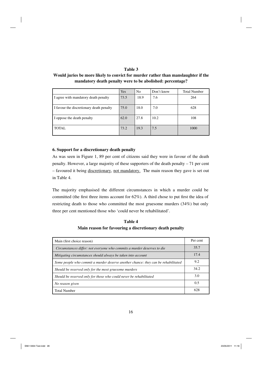# **Table 3**

**Would juries be more likely to convict for murder rather than manslaughter if the mandatory death penalty were to be abolished: percentage?**

|                                          | Yes  | N <sub>0</sub> | Don't know | <b>Total Number</b> |
|------------------------------------------|------|----------------|------------|---------------------|
| I agree with mandatory death penalty     | 73.5 | 18.9           | 7.6        | 264                 |
| I favour the discretionary death penalty | 75.0 | 18.0           | 7.0        | 628                 |
| I oppose the death penalty               | 62.0 | 27.8           | 10.2       | 108                 |
| <b>TOTAL</b>                             | 73.2 | 19.3           | 7.5        | 1000                |

## **6. Support for a discretionary death penalty**

As was seen in Figure 1, 89 per cent of citizens said they were in favour of the death penalty. However, a large majority of these supporters of the death penalty – 71 per cent – favoured it being discretionary, not mandatory. The main reason they gave is set out in Table 4.

The majority emphasised the different circumstances in which a murder could be committed (the first three items account for  $62\%$ ). A third chose to put first the idea of restricting death to those who committed the most gruesome murders (34%) but only three per cent mentioned those who 'could never be rehabilitated'.

**Table 4 Main reason for favouring a discretionary death penalty**

| Main (first choice reason)                                                        | Per cent |
|-----------------------------------------------------------------------------------|----------|
| Circumstances differ: not everyone who commits a murder deserves to die           | 35.7     |
| Mitigating circumstances should always be taken into account                      | 17.4     |
| Some people who commit a murder deserve another chance: they can be rehabilitated | 9.2      |
| Should be reserved only for the most gruesome murders                             | 34.2     |
| Should be reserved only for those who could never be rehabilitated                | 3.0      |
| No reason given                                                                   | 0.5      |
| <b>Total Number</b>                                                               | 628      |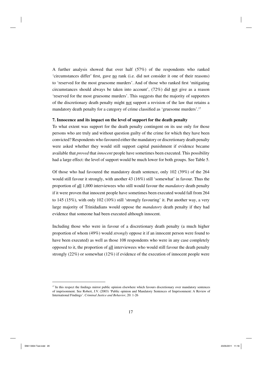A further analysis showed that over half (57%) of the respondents who ranked 'circumstances differ' first, gave no rank (i.e. did not consider it one of their reasons) to 'reserved for the most gruesome murders'. And of those who ranked first 'mitigating circumstances should always be taken into account', (72%) did not give as a reason 'reserved for the most gruesome murders'. This suggests that the majority of supporters of the discretionary death penalty might not support a revision of the law that retains a mandatory death penalty for a category of crime classified as 'gruesome murders'.<sup>17</sup>

## **7. Innocence and its impact on the level of support for the death penalty**

To what extent was support for the death penalty contingent on its use only for those persons who are truly and without question guilty of the crime for which they have been convicted? Respondents who favoured either the mandatory or discretionary death penalty were asked whether they would still support capital punishment if evidence became available that *proved* that *innocent* people have sometimes been executed. This possibility had a large effect: the level of support would be much lower for both groups. See Table 5.

Of those who had favoured the mandatory death sentence, only 102 (39%) of the 264 would still favour it strongly, with another 43 (16%) still 'somewhat' in favour. Thus the proportion of all 1,000 interviewees who still would favour the *mandatory* death penalty if it were proven that innocent people have sometimes been executed would fall from 264 to 145 (15%), with only 102 (10%) still 'strongly favouring' it. Put another way, a very large majority of Trinidadians would oppose the *mandatory* death penalty if they had evidence that someone had been executed although innocent.

Including those who were in favour of a discretionary death penalty (a much higher proportion of whom (49%) would *strongly* oppose it if an innocent person were found to have been executed) as well as those 108 respondents who were in any case completely opposed to it, the proportion of all interviewees who would still favour the death penalty strongly (22%) or somewhat (12%) if evidence of the execution of innocent people were

 $17$  In this respect the findings mirror public opinion elsewhere which favours discretionary over mandatory sentences of imprisonment. See Robert, J.V. (2003) 'Public opinion and Mandatory Sentences of Imprisonment: A Review of International Findings'. *Criminal Justice and Behavior*, 20: 1-26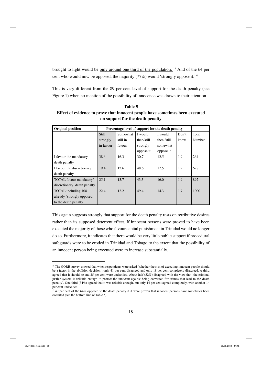brought to light would be only around one third of the population. 18 And of the 64 per cent who would now be opposed, the majority (77%) would 'strongly oppose it.'19

This is very different from the 89 per cent level of support for the death penalty (see Figure 1) when no mention of the possibility of innocence was drawn to their attention.

**Table 5 Effect of evidence to prove that innocent people have sometimes been executed on support for the death penalty** 

| <b>Original position</b>    |              |          |            | Percentage level of support for the death penalty |       |        |
|-----------------------------|--------------|----------|------------|---------------------------------------------------|-------|--------|
|                             | <b>Still</b> | Somewhat | I would    | I would                                           | Don't | Total  |
|                             | strongly     | still in | then/still | then /still                                       | know  | Number |
|                             | in favour    | favour   | strongly   | somewhat                                          |       |        |
|                             |              |          | oppose it  | oppose it                                         |       |        |
| I favour the mandatory      | 38.6         | 16.3     | 30.7       | 12.5                                              | 1.9   | 264    |
| death penalty               |              |          |            |                                                   |       |        |
| I favour the discretionary  | 19.4         | 12.6     | 48.6       | 17.5                                              | 1.9   | 628    |
| death penalty               |              |          |            |                                                   |       |        |
| TOTAL favour mandatory/     | 25.1         | 13.7     | 43.3       | 16.0                                              | 1.9   | 892    |
| discretionary death penalty |              |          |            |                                                   |       |        |
| TOTAL including 108         | 22.4         | 12.2     | 49.4       | 14.3                                              | 1.7   | 1000   |
| already 'strongly opposed'  |              |          |            |                                                   |       |        |
| to the death penalty        |              |          |            |                                                   |       |        |

This again suggests strongly that support for the death penalty rests on retributive desires rather than its supposed deterrent effect. If innocent persons were proved to have been executed the majority of those who favour capital punishment in Trinidad would no longer do so. Furthermore, it indicates that there would be very little public support if procedural safeguards were to be eroded in Trinidad and Tobago to the extent that the possibility of an innocent person being executed were to increase substantially.

<sup>&</sup>lt;sup>18</sup> The GORE survey showed that when respondents were asked 'whether the risk of executing innocent people should be a factor in the abolition decision', only 41 per cent disagreed and only 18 per cent completely disagreed. A third agreed that it should be and 25 per cent were undecided. About half (52%) disagreed with the view that 'the criminal justice system is reliable enough to protect the innocent against being convicted for crimes that lead to the death penalty'. One third (34%) agreed that it was reliable enough, but only 14 per cent agreed completely, with another 14 per cent undecided.

<sup>&</sup>lt;sup>19</sup> 49 per cent of the 64% opposed to the death penalty if it were proven that innocent persons have sometimes been executed (see the bottom line of Table 5).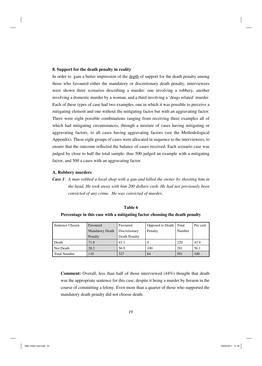## **8. Support for the death penalty in reality**

In order to gain a better impression of the depth of support for the death penalty among those who favoured either the mandatory or discretionary death penalty, interviewees were shown three scenarios describing a murder: one involving a robbery, another involving a domestic murder by a woman, and a third involving a 'drugs related' murder. Each of these types of case had two examples, one in which it was possible to perceive a mitigating element and one without the mitigating factor but with an aggravating factor. There were eight possible combinations ranging from receiving three examples all of which had mitigating circumstances, through a mixture of cases having mitigating or aggravating factors, to all cases having aggravating factors (see the Methodological Appendix). These eight groups of cases were allocated in sequence to the interviewees, to ensure that the outcome reflected the balance of cases received. Each scenario case was judged by close to half the total sample: thus 500 judged an example with a mitigating factor, and 500 a cases with an aggravating factor.

#### **A. Robbery murders**

*Case 1: A man robbed a local shop with a gun and killed the owner by shooting him in the head. He took away with him 200 dollars cash. He had not previously been convicted of any crime. He was convicted of murder.*

| Sentence Chosen | Favoured               | Favoured      | Opposed to Death | Total  | Per cent |
|-----------------|------------------------|---------------|------------------|--------|----------|
|                 | <b>Mandatory Death</b> | Discretionary | Penalty          | Number |          |
|                 | Penalty                | Death Penalty |                  |        |          |
| l Death         | 71.8                   | 43.1          | U                | 220    | 43.9     |
| Not Death       | 28.2                   | 56.9          | 100              | 281    | 56.1     |
| l Total Number  | 110                    | 327           | 64               | 501    | 100      |

# **Table 6**

**Percentage in this case with a mitigating factor choosing the death penalty**

**Comment:** Overall, less than half of those interviewed (44%) thought that death was the appropriate sentence for this case, despite it being a murder by firearm in the course of committing a felony. Even more than a quarter of those who supported the mandatory death penalty did not choose death.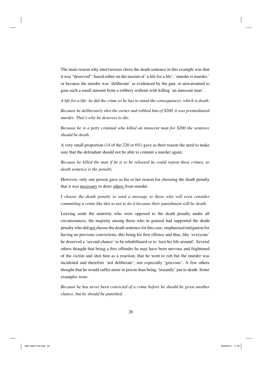The main reason why interviewees chose the death sentence in this example was that it was "deserved": based either on the maxim of 'a life for a life', 'murder is murder,' or because the murder was 'deliberate' as evidenced by the gun, or unwarranted to gain such a small amount from a robbery without with killing 'an innocent man'.

*A life for a life: he did the crime so he has to stand the consequences, which is death.*

*Because he deliberately shot the owner and robbed him of \$200, it was premeditated murder. That's why he deserves to die.*

*Because he is a petty criminal who killed an innocent man for \$200 the sentence should be death.*

A very small proportion (14 of the 220 or 6%) gave as their reason the need to make sure that the defendant should not be able to commit a murder again:

*Because he killed the man if he is to be released he could repeat these crimes, so death sentence is the penalty.*

However, only one person gave as his or her reason for choosing the death penalty that it was necessary to deter others from murder.

*I choose the death penalty to send a message to those who will even consider committing a crime like this to not to do it because their punishment will be death.*

Leaving aside the minority who were opposed to the death penalty under all circumstances, the majority among those who in general had supported the death penalty who did not choose the death sentence for this case, emphasised mitigation for having no previous convictions, this being his first offence and thus, like 'everyone' he deserved a 'second chance' to be rehabilitated or to 'turn his life around'. Several others thought that being a first offender he may have been nervous and frightened of the victim and shot him as a reaction; that he went to rob but the murder was incidental and therefore 'not deliberate', nor especially 'grievous'. A few others thought that he would suffer more in prison than being 'instantly' put to death. Some examples were:

*Because he has never been convicted of a crime before he should be given another chance, but he should be punished.*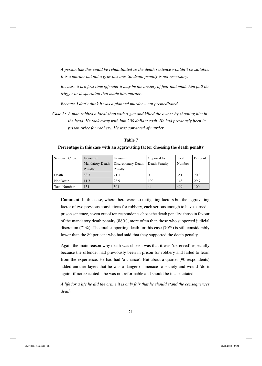*A person like this could be rehabilitated so the death sentence wouldn't be suitable. It is a murder but not a grievous one. So death penalty is not necessary.*

*Because it is a first time offender it may be the anxiety of fear that made him pull the trigger or desperation that made him murder.*

*Because I don't think it was a planned murder – not premeditated.*

*Case 2: A man robbed a local shop with a gun and killed the owner by shooting him in the head. He took away with him 200 dollars cash. He had previously been in prison twice for robbery. He was convicted of murder.*

| Sentence Chosen     | Favoured               | Favoured            | Opposed to    | Total  | Per cent |
|---------------------|------------------------|---------------------|---------------|--------|----------|
|                     | <b>Mandatory Death</b> | Discretionary Death | Death Penalty | Number |          |
|                     | Penalty                | Penalty             |               |        |          |
| Death               | 88.3                   | 71.1                |               | 351    | 70.3     |
| Not Death           | 11.7                   | 28.9                | 100           | 148    | 29.7     |
| <b>Total Number</b> | 154                    | 301                 | 44            | 499    | 100      |

**Table 7**

#### **Percentage in this case with an aggravating factor choosing the death penalty**

**Comment**: In this case, where there were no mitigating factors but the aggravating factor of two previous convictions for robbery, each serious enough to have earned a prison sentence, seven out of ten respondents chose the death penalty: those in favour of the mandatory death penalty (88%), more often than those who supported judicial discretion (71%). The total supporting death for this case (70%) is still considerably lower than the 89 per cent who had said that they supported the death penalty.

Again the main reason why death was chosen was that it was 'deserved' especially because the offender had previously been in prison for robbery and failed to learn from the experience. He had had 'a chance'. But about a quarter (90 respondents) added another layer: that he was a danger or menace to society and would 'do it again' if not executed – he was not reformable and should be incapacitated.

*A life for a life he did the crime it is only fair that he should stand the consequences death*.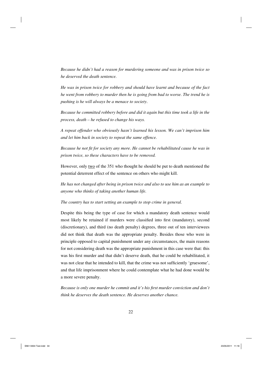*Because he didn't had a reason for murdering someone and was in prison twice so he deserved the death sentence.*

*He was in prison twice for robbery and should have learnt and because of the fact he went from robbery to murder then he is going from bad to worse. The trend he is pushing is he will always be a menace to society*.

*Because he committed robbery before and did it again but this time took a life in the process, death – he refused to change his ways.*

*A repeat offender who obviously hasn't learned his lesson. We can't imprison him and let him back in society to repeat the same offence.*

*Because he not fit for society any more. He cannot be rehabilitated cause he was in prison twice, so these characters have to be removed.*

However, only two of the 351 who thought he should be put to death mentioned the potential deterrent effect of the sentence on others who might kill.

*He has not changed after being in prison twice and also to use him as an example to anyone who thinks of taking another human life.*

*The country has to start setting an example to stop crime in general.*

Despite this being the type of case for which a mandatory death sentence would most likely be retained if murders were classified into first (mandatory), second (discretionary), and third (no death penalty) degrees, three out of ten interviewees did not think that death was the appropriate penalty. Besides those who were in principle opposed to capital punishment under any circumstances, the main reasons for not considering death was the appropriate punishment in this case were that: this was his first murder and that didn't deserve death, that he could be rehabilitated, it was not clear that he intended to kill, that the crime was not sufficiently 'gruesome', and that life imprisonment where he could contemplate what he had done would be a more severe penalty.

*Because is only one murder he commit and it's his first murder conviction and don't think he deserves the death sentence. He deserves another chance.*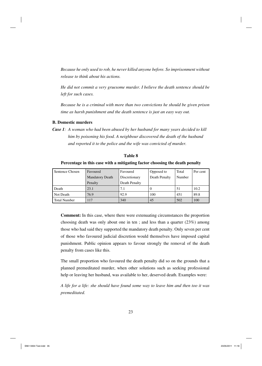*Because he only used to rob, he never killed anyone before. So imprisonment without release to think about his actions.*

*He did not commit a very gruesome murder. I believe the death sentence should be left for such cases.*

*Because he is a criminal with more than two convictions he should be given prison time as harsh punishment and the death sentence is just an easy way out.*

## **B. Domestic murders**

*Case 1: A woman who had been abused by her husband for many years decided to kill him by poisoning his food. A neighbour discovered the death of the husband and reported it to the police and the wife was convicted of murder.* 

| Sentence Chosen     | Favoured               | Favoured      | Opposed to    | Total  | Per cent |
|---------------------|------------------------|---------------|---------------|--------|----------|
|                     | <b>Mandatory Death</b> | Discretionary | Death Penalty | Number |          |
|                     | Penalty                | Death Penalty |               |        |          |
| Death               | 23.1                   | 7.1           | O             | 51     | 10.2     |
| Not Death           | 76.9                   | 92.9          | 100           | 451    | 89.8     |
| <b>Total Number</b> | 117                    | 340           | 45            | 502    | 100      |

## **Table 8**

# **Percentage in this case with a mitigating factor choosing the death penalty**

**Comment:** In this case, where there were extenuating circumstances the proportion choosing death was only about one in ten ; and less than a quarter (23%) among those who had said they supported the mandatory death penalty. Only seven per cent of those who favoured judicial discretion would themselves have imposed capital punishment. Public opinion appears to favour strongly the removal of the death penalty from cases like this.

The small proportion who favoured the death penalty did so on the grounds that a planned premeditated murder, when other solutions such as seeking professional help or leaving her husband, was available to her, deserved death. Examples were:

*A life for a life: she should have found some way to leave him and then too it was premeditated.*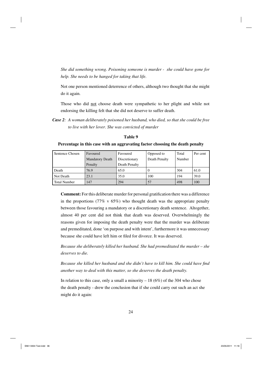*She did something wrong. Poisoning someone is murder - she could have gone for help. She needs to be hanged for taking that life.*

Not one person mentioned deterrence of others, although two thought that she might do it again.

Those who did not choose death were sympathetic to her plight and while not endorsing the killing felt that she did not deserve to suffer death.

*Case 2: A woman deliberately poisoned her husband, who died, so that she could be free to live with her lover. She was convicted of murder*

Sentence Chosen Favoured Mandatory Death Penalty Favoured Discretionary Death Penalty Opposed to Death Penalty Total Number Per cent Death 76.9 65.0 0 304 61.0 Not Death 23.1 35.0 100 194 39.0 Total Number 147 294 57 498 100

**Table 9**

## **Percentage in this case with an aggravating factor choosing the death penalty**

**Comment:** For this deliberate murder for personal gratification there was a difference in the proportions (77% v  $65\%$ ) who thought death was the appropriate penalty between those favouring a mandatory or a discretionary death sentence. Altogether, almost 40 per cent did not think that death was deserved. Overwhelmingly the reasons given for imposing the death penalty were that the murder was deliberate and premeditated, done 'on purpose and with intent', furthermore it was unnecessary because she could have left him or filed for divorce. It was deserved.

*Because she deliberately killed her husband. She had premeditated the murder – she deserves to die.*

*Because she killed her husband and she didn't have to kill him. She could have find another way to deal with this matter, so she deserves the death penalty.*

In relation to this case, only a small a minority  $-18 (6%)$  of the 304 who chose the death penalty - drew the conclusion that if she could carry out such an act she might do it again: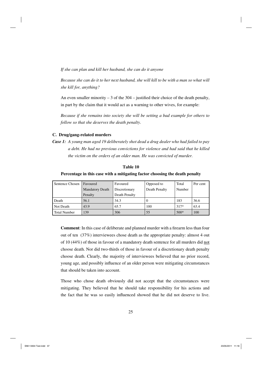*If she can plan and kill her husband, she can do it anyone*

*Because she can do it to her next husband, she will kill to be with a man so what will she kill for, anything?*

An even smaller minority  $-3$  of the 304 – justified their choice of the death penalty, in part by the claim that it would act as a warning to other wives, for example:

*Because if she remains into society she will be setting a bad example for others to follow so that she deserves the death penalty*.

## **C. Drug/gang-related murders**

*Case 1: A young man aged 19 deliberately shot dead a drug dealer who had failed to pay a debt. He had no previous convictions for violence and had said that he killed the victim on the orders of an older man. He was convicted of murder.*

#### **Table 10**

#### **Percentage in this case with a mitigating factor choosing the death penalty**

| Sentence Chosen | Favoured               | Favoured      | Opposed to    | Total  | Per cent |
|-----------------|------------------------|---------------|---------------|--------|----------|
|                 | <b>Mandatory Death</b> | Discretionary | Death Penalty | Number |          |
|                 | Penalty                | Death Penalty |               |        |          |
| l Death         | 56.1                   | 34.3          | v             | 183    | 36.6     |
| Not Death       | 43.9                   | 65.7          | 100           | $317*$ | 63.4     |
| Total Number    | 139                    | 306           | 55            | $500*$ | 100      |

**Comment**: In this case of deliberate and planned murder with a firearm less than four out of ten (37%) interviewees chose death as the appropriate penalty: almost 4 out of 10 (44%) of those in favour of a mandatory death sentence for all murders did not choose death. Nor did two-thirds of those in favour of a discretionary death penalty choose death. Clearly, the majority of interviewees believed that no prior record, young age, and possibly influence of an older person were mitigating circumstances that should be taken into account.

Those who chose death obviously did not accept that the circumstances were mitigating. They believed that he should take responsibility for his actions and the fact that he was so easily influenced showed that he did not deserve to live.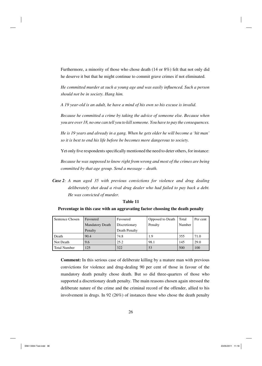Furthermore, a minority of those who chose death (14 or 8%) felt that not only did he deserve it but that he might continue to commit grave crimes if not eliminated.

*He committed murder at such a young age and was easily influenced. Such a person should not be in society. Hang him.*

*A 19 year-old is an adult, he have a mind of his own so his excuse is invalid.*

*Because he committed a crime by taking the advice of someone else. Because when you are over 18, no one can tell you to kill someone. You have to pay the consequences.*

*He is 19 years and already in a gang. When he gets older he will become a 'hit man' so it is best to end his life before be becomes more dangerous to society.*

Yet only five respondents specifically mentioned the need to deter others, for instance:

*Because he was supposed to know right from wrong and most of the crimes are being committed by that age group. Send a message – death.*

*Case 2: A man aged 35 with previous convictions for violence and drug dealing deliberately shot dead a rival drug dealer who had failed to pay back a debt. He was convicted of murder.*

| Sentence Chosen     | Favoured               | Favoured      | Opposed to Death | Total  | Per cent |
|---------------------|------------------------|---------------|------------------|--------|----------|
|                     | <b>Mandatory Death</b> | Discretionary | Penalty          | Number |          |
|                     | Penalty                | Death Penalty |                  |        |          |
| Death               | 90.4                   | 74.8          | 1.9              | 355    | 71.0     |
| Not Death           | 9.6                    | 25.2          | 98.1             | 145    | 29.0     |
| <b>Total Number</b> | 125                    | 322           | 53               | 500    | 100      |

# **Table 11 Percentage in this case with an aggravating factor choosing the death penalty**

**Comment:** In this serious case of deliberate killing by a mature man with previous convictions for violence and drug-dealing 90 per cent of those in favour of the mandatory death penalty chose death. But so did three-quarters of those who supported a discretionary death penalty. The main reasons chosen again stressed the deliberate nature of the crime and the criminal record of the offender, allied to his

involvement in drugs. In 92 (26%) of instances those who chose the death penalty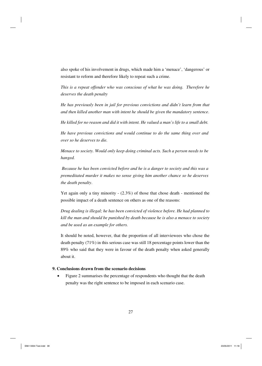also spoke of his involvement in drugs, which made him a 'menace', 'dangerous' or resistant to reform and therefore likely to repeat such a crime.

*This is a repeat offender who was conscious of what he was doing. Therefore he deserves the death penalty*

*He has previously been in jail for previous convictions and didn't learn from that and then killed another man with intent he should be given the mandatory sentence*.

*He killed for no reason and did it with intent. He valued a man's life to a small debt.*

*He have previous convictions and would continue to do the same thing over and over so he deserves to die.*

*Menace to society. Would only keep doing criminal acts. Such a person needs to be hanged.*

 *Because he has been convicted before and he is a danger to society and this was a premeditated murder it makes no sense giving him another chance so he deserves the death penalty*.

Yet again only a tiny minority - (2.3%) of those that chose death - mentioned the possible impact of a death sentence on others as one of the reasons:

*Drug dealing is illegal; he has been convicted of violence before. He had planned to kill the man and should be punished by death because he is also a menace to society and be used as an example for others.*

It should be noted, however, that the proportion of all interviewees who chose the death penalty (71%) in this serious case was still 18 percentage points lower than the 89% who said that they were in favour of the death penalty when asked generally about it.

# **9. Conclusions drawn from the scenario decisions**

• Figure 2 summarises the percentage of respondents who thought that the death penalty was the right sentence to be imposed in each scenario case.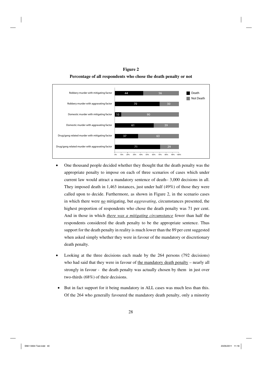**Figure 2 Percentage of all respondents who chose the death penalty or not**



- One thousand people decided whether they thought that the death penalty was the appropriate penalty to impose on each of three scenarios of cases which under current law would attract a mandatory sentence of death– 3,000 decisions in all. They imposed death in 1,463 instances, just under half (49%) of those they were called upon to decide. Furthermore, as shown in Figure 2, in the scenario cases in which there were *no* mitigating, but *aggravating*, circumstances presented, the highest proportion of respondents who chose the death penalty was 71 per cent. And in those in which *there was a mitigating circumstance* fewer than half the respondents considered the death penalty to be the appropriate sentence. Thus support for the death penalty in reality is much lower than the 89 per cent suggested when asked simply whether they were in favour of the mandatory or discretionary death penalty.
- Looking at the three decisions each made by the 264 persons (792 decisions) who had said that they were in favour of the mandatory death penalty – nearly all strongly in favour - the death penalty was actually chosen by them in just over two-thirds (68%) of their decisions.
- But in fact support for it being mandatory in ALL cases was much less than this. Of the 264 who generally favoured the mandatory death penalty, only a minority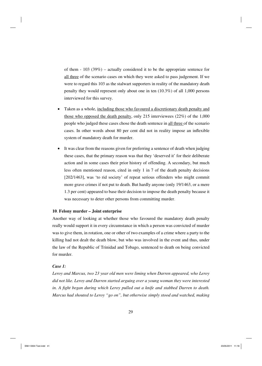of them - 103 (39%) – actually considered it to be the appropriate sentence for all three of the scenario cases on which they were asked to pass judgement. If we were to regard this 103 as the stalwart supporters in reality of the mandatory death penalty they would represent only about one in ten (10.3%) of all 1,000 persons interviewed for this survey.

- Taken as a whole, including those who favoured a discretionary death penalty and those who opposed the death penalty, only 215 interviewees (22%) of the 1,000 people who judged these cases chose the death sentence in all three of the scenario cases. In other words about 80 per cent did not in reality impose an inflexible system of mandatory death for murder.
- It was clear from the reasons given for preferring a sentence of death when judging these cases, that the primary reason was that they 'deserved it' for their deliberate action and in some cases their prior history of offending. A secondary, but much less often mentioned reason, cited in only 1 in 7 of the death penalty decisions [202/1463], was 'to rid society' of repeat serious offenders who might commit more grave crimes if not put to death. But hardly anyone (only 19/1463, or a mere 1.3 per cent) appeared to base their decision to impose the death penalty because it was necessary to deter other persons from committing murder.

## **10**. **Felony murder – Joint enterprise**

Another way of looking at whether those who favoured the mandatory death penalty really would support it in every circumstance in which a person was convicted of murder was to give them, in rotation, one or other of two examples of a crime where a party to the killing had not dealt the death blow, but who was involved in the event and thus, under the law of the Republic of Trinidad and Tobago, sentenced to death on being convicted for murder.

## *Case 1:*

*Leroy and Marcus, two 23 year old men were liming when Darren appeared, who Leroy did not like. Leroy and Darren started arguing over a young woman they were interested*  in. A fight began during which Leroy pulled out a knife and stabbed Darren to death. *Marcus had shouted to Leroy "go on", but otherwise simply stood and watched, making*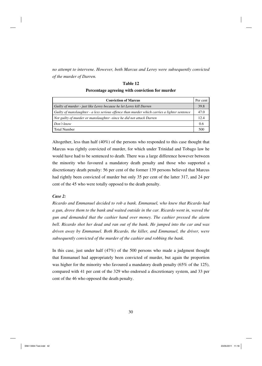*no attempt to intervene. However, both Marcus and Leroy were subsequently convicted of the murder of Darren.* 

| I creentage agreeing with conviction for marger                                              |          |
|----------------------------------------------------------------------------------------------|----------|
| <b>Conviction of Marcus</b>                                                                  | Per cent |
| Guilty of murder - just like Leroy because he let Leroy kill Darren                          | 39.8     |
| Guilty of manslaughter - a less serious offence than murder which carries a lighter sentence | 47.0     |
| Not guilty of murder or manslaughter -since he did not attack Darren                         | 12.4     |
| Don't know                                                                                   | 0.6      |
| <b>Total Number</b>                                                                          | 500      |

# **Table 12 Percentage agreeing with conviction for murder**

Altogether, less than half (40%) of the persons who responded to this case thought that Marcus was rightly convicted of murder, for which under Trinidad and Tobago law he would have had to be sentenced to death. There was a large difference however between the minority who favoured a mandatory death penalty and those who supported a discretionary death penalty: 56 per cent of the former 139 persons believed that Marcus had rightly been convicted of murder but only 35 per cent of the latter 317, and 24 per cent of the 45 who were totally opposed to the death penalty.

# *Case 2:*

*Ricardo and Emmanuel decided to rob a bank. Emmanuel, who knew that Ricardo had a gun, drove them to the bank and waited outside in the car. Ricardo went in, waved the gun and demanded that the cashier hand over money. The cashier pressed the alarm bell. Ricardo shot her dead and ran out of the bank. He jumped into the car and was driven away by Emmanuel. Both Ricardo, the killer, and Emmanuel, the driver, were subsequently convicted of the murder of the cashier and robbing the bank.* 

In this case, just under half (47%) of the 500 persons who made a judgment thought that Emmanuel had appropriately been convicted of murder, but again the proportion was higher for the minority who favoured a mandatory death penalty (65% of the 125), compared with 41 per cent of the 329 who endorsed a discretionary system, and 33 per cent of the 46 who opposed the death penalty.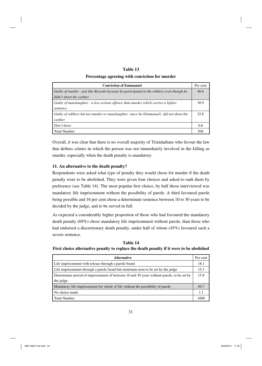# **Table 13**

## **Percentage agreeing with conviction for murder**

| <b>Conviction of Emmanuel</b>                                                              |      |  |  |  |  |  |
|--------------------------------------------------------------------------------------------|------|--|--|--|--|--|
| Guilty of murder - just like Ricardo because he participated in the robbery even though he | 46.6 |  |  |  |  |  |
| didn't shoot the cashier                                                                   |      |  |  |  |  |  |
| Guilty of manslaughter - a less serious offence than murder which carries a lighter        | 30.9 |  |  |  |  |  |
| sentence                                                                                   |      |  |  |  |  |  |
| Guilty of robbery but not murder or manslaughter -since he (Emmanuel) did not shoot the    | 22.8 |  |  |  |  |  |
| cashier                                                                                    |      |  |  |  |  |  |
| Don't know                                                                                 | 0.6  |  |  |  |  |  |
| <b>Total Number</b>                                                                        | 500  |  |  |  |  |  |

Overall, it was clear that there is no overall majority of Trinidadians who favour the law that defines crimes in which the person was not immediately involved in the killing as murder, especially when the death penalty is mandatory.

# **11. An alternative to the death penalty?**

Respondents were asked what type of penalty they would chose for murder if the death penalty were to be abolished. They were given four choices and asked to rank them by preference (see Table 14). The most popular first choice, by half those interviewed was mandatory life imprisonment without the possibility of parole. A third favoured parole being possible and 16 per cent chose a determinate sentence between 10 to 30 years to be decided by the judge, and to be served in full.

As expected a considerably higher proportion of those who had favoured the mandatory death penalty (69%) chose mandatory life imprisonment without parole, than those who had endorsed a discretionary death penalty, under half of whom (45%) favoured such a severe sentence.

**Table 14 First choice alternative penalty to replace the death penalty if it were to be abolished**

| <b>Alternative</b>                                                                         | Per cent |  |  |  |  |  |
|--------------------------------------------------------------------------------------------|----------|--|--|--|--|--|
| Life imprisonment with release through a parole board                                      |          |  |  |  |  |  |
| Life imprisonment through a parole board but minimum term to be set by the judge           |          |  |  |  |  |  |
| Determinate period of imprisonment of between 10 and 30 years without parole, to be set by |          |  |  |  |  |  |
| the judge                                                                                  |          |  |  |  |  |  |
| Mandatory life imprisonment for whole of life without the possibility of parole            |          |  |  |  |  |  |
| No choice made                                                                             |          |  |  |  |  |  |
| <b>Total Number</b>                                                                        | 1000     |  |  |  |  |  |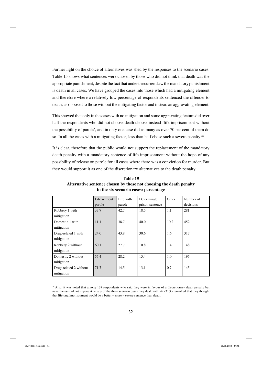Further light on the choice of alternatives was shed by the responses to the scenario cases. Table 15 shows what sentences were chosen by those who did not think that death was the appropriate punishment, despite the fact that under the current law the mandatory punishment is death in all cases. We have grouped the cases into those which had a mitigating element and therefore where a relatively low percentage of respondents sentenced the offender to death, as opposed to those without the mitigating factor and instead an aggravating element.

This showed that only in the cases with no mitigation and some aggravating feature did over half the respondents who did not choose death choose instead 'life imprisonment without the possibility of parole', and in only one case did as many as over 70 per cent of them do so. In all the cases with a mitigating factor, less than half chose such a severe penalty.<sup>20</sup>

It is clear, therefore that the public would not support the replacement of the mandatory death penalty with a mandatory sentence of life imprisonment without the hope of any possibility of release on parole for all cases where there was a conviction for murder. But they would support it as one of the discretionary alternatives to the death penalty.

|                        | Life without | Life with | Determinate     | Other | Number of |
|------------------------|--------------|-----------|-----------------|-------|-----------|
|                        | parole       | parole    | prison sentence |       | decisions |
| Robbery 1 with         | 37.7         | 42.7      | 18.5            | 1.1   | 281       |
| mitigation             |              |           |                 |       |           |
| Domestic 1 with        | 11.1         | 38.7      | 40.0            | 10.2  | 452       |
| mitigation             |              |           |                 |       |           |
| Drug-related 1 with    | 24.0         | 43.8      | 30.6            | 1.6   | 317       |
| mitigation             |              |           |                 |       |           |
| Robbery 2 without      | 60.1         | 27.7      | 10.8            | 1.4   | 148       |
| mitigation             |              |           |                 |       |           |
| Domestic 2 without     | 55.4         | 28.2      | 15.4            | 1.0   | 195       |
| mitigation             |              |           |                 |       |           |
| Drug-related 2 without | 71.7         | 14.5      | 13.1            | 0.7   | 145       |
| mitigation             |              |           |                 |       |           |

**Table 15 Alternative sentence chosen by those not choosing the death penalty in the six scenario cases: percentage**

 $20$  Also, it was noted that among 137 respondents who said they were in favour of a discretionary death penalty but nevertheless did not impose it on any of the three scenario cases they dealt with, 42 (31%) remarked that they thought that lifelong imprisonment would be a better – more – severe sentence than death.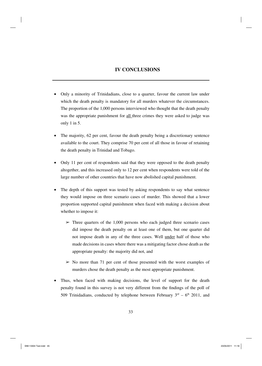# **IV CONCLUSIONS**

- Only a minority of Trinidadians, close to a quarter, favour the current law under which the death penalty is mandatory for all murders whatever the circumstances. The proportion of the 1,000 persons interviewed who thought that the death penalty was the appropriate punishment for all three crimes they were asked to judge was only 1 in 5.
- The majority, 62 per cent, favour the death penalty being a discretionary sentence available to the court. They comprise 70 per cent of all those in favour of retaining the death penalty in Trinidad and Tobago.
- Only 11 per cent of respondents said that they were opposed to the death penalty altogether, and this increased only to 12 per cent when respondents were told of the large number of other countries that have now abolished capital punishment.
- The depth of this support was tested by asking respondents to say what sentence they would impose on three scenario cases of murder. This showed that a lower proportion supported capital punishment when faced with making a decision about whether to impose it:
	- $\geq$  Three quarters of the 1,000 persons who each judged three scenario cases did impose the death penalty on at least one of them, but one quarter did not impose death in any of the three cases. Well under half of those who made decisions in cases where there was a mitigating factor chose death as the appropriate penalty: the majority did not, and
	- $\geq$  No more than 71 per cent of those presented with the worst examples of murders chose the death penalty as the most appropriate punishment.
- Thus, when faced with making decisions, the level of support for the death penalty found in this survey is not very different from the findings of the poll of 509 Trinidadians, conducted by telephone between February  $3<sup>rd</sup> - 6<sup>th</sup>$  2011, and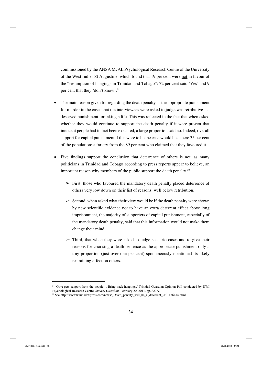commissioned by the ANSA McAL Psychological Research Centre of the University of the West Indies St Augustine, which found that 19 per cent were not in favour of the "resumption of hangings in Trinidad and Tobago": 72 per cent said 'Yes' and 9 per cent that they 'don't know'.21

- The main reason given for regarding the death penalty as the appropriate punishment for murder in the cases that the interviewees were asked to judge was retributive  $- a$ deserved punishment for taking a life. This was reflected in the fact that when asked whether they would continue to support the death penalty if it were proven that innocent people had in fact been executed, a large proportion said no. Indeed, overall support for capital punishment if this were to be the case would be a mere 35 per cent of the population: a far cry from the 89 per cent who claimed that they favoured it.
- $\bullet$  Five findings support the conclusion that deterrence of others is not, as many politicians in Trinidad and Tobago according to press reports appear to believe, an important reason why members of the public support the death penalty.<sup>22</sup>
	- $\triangleright$  First, those who favoured the mandatory death penalty placed deterrence of others very low down on their list of reasons: well below retribution.
	- $\geq$  Second, when asked what their view would be if the death penalty were shown by new scientific evidence not to have an extra deterrent effect above long imprisonment, the majority of supporters of capital punishment, especially of the mandatory death penalty, said that this information would not make them change their mind.
	- $\triangleright$  Third, that when they were asked to judge scenario cases and to give their reasons for choosing a death sentence as the appropriate punishment only a tiny proportion (just over one per cent) spontaneously mentioned its likely restraining effect on others.

<sup>&</sup>lt;sup>21</sup> 'Govt gets support from the people... Bring back hangings,' Trinidad Guardian Opinion Poll conducted by UWI Psychological Research Centre, *Sunday Guardian,* February 20, 2011, pp. A6-A7.

<sup>&</sup>lt;sup>22</sup> See http://www.trinidadexpress.com/news/\_Death\_penalty\_will\_be\_a\_deterrent\_-101136414.html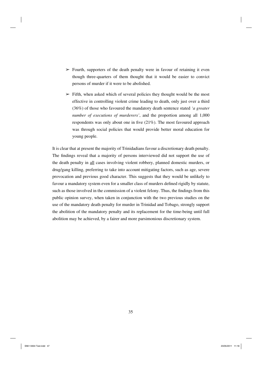- $\geq$  Fourth, supporters of the death penalty were in favour of retaining it even though three-quarters of them thought that it would be easier to convict persons of murder if it were to be abolished.
- $\triangleright$  Fifth, when asked which of several policies they thought would be the most effective in controlling violent crime leading to death, only just over a third (36%) of those who favoured the mandatory death sentence stated *'a greater number of executions of murderers'*, and the proportion among all 1,000 respondents was only about one in five  $(21\%)$ . The most favoured approach was through social policies that would provide better moral education for young people.

It is clear that at present the majority of Trinidadians favour a discretionary death penalty. The findings reveal that a majority of persons interviewed did not support the use of the death penalty in all cases involving violent robbery, planned domestic murders, or drug/gang killing, preferring to take into account mitigating factors, such as age, severe provocation and previous good character. This suggests that they would be unlikely to favour a mandatory system even for a smaller class of murders defined rigidly by statute, such as those involved in the commission of a violent felony. Thus, the findings from this public opinion survey, when taken in conjunction with the two previous studies on the use of the mandatory death penalty for murder in Trinidad and Tobago, strongly support the abolition of the mandatory penalty and its replacement for the time-being until full abolition may be achieved, by a fairer and more parsimonious discretionary system.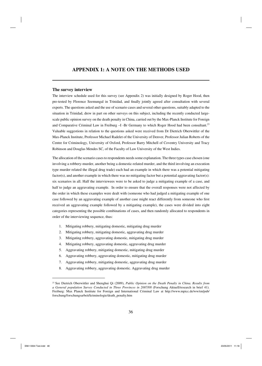# **APPENDIX 1: A NOTE ON THE METHODS USED**

#### **The survey interview**

The interview schedule used for this survey (see Appendix 2) was initially designed by Roger Hood, then pre-tested by Florence Seemungal in Trinidad, and finally jointly agreed after consultation with several experts. The questions asked and the use of scenario cases and several other questions, suitably adapted to the situation in Trinidad, drew in part on other surveys on this subject, including the recently conducted largescale public opinion survey on the death penalty in China, carried out by the Max-Planck Institute for Foreign and Comparative Criminal Law in Freiburg -I -Br Germany to which Roger Hood had been consultant.<sup>23</sup> Valuable suggestions in relation to the questions asked were received from Dr Dietrich Oberwittler of the Max-Planck Institute, Professor Michael Radelet of the University of Denver, Professor Julian Roberts of the Centre for Criminology, University of Oxford, Professor Barry Mitchell of Coventry University and Tracy Robinson and Douglas Mendes SC, of the Faculty of Law University of the West Indies.

The allocation of the scenario cases to respondents needs some explanation. The three types case chosen (one involving a robbery-murder, another being a domestic-related murder, and the third involving an execution type murder related the illegal drug trade) each had an example in which there was a potential mitigating factor(s), and another example in which there was no mitigating factor but a potential aggravating factor(s): six scenarios in all. Half the interviewees were to be asked to judge a mitigating example of a case, and half to judge an aggravating example. In order to ensure that the overall responses were not affected by the order in which these examples were dealt with (someone who had judged a mitigating example of one case followed by an aggravating example of another case might react differently from someone who first received an aggravating example followed by a mitigating example), the cases were divided into eight categories representing the possible combinations of cases, and then randomly allocated to respondents in order of the interviewing sequence, thus:

- 1. Mitigating robbery, mitigating domestic, mitigating drug murder
- 2. Mitigating robbery, mitigating domestic, aggravating drug murder
- 3. Mitigating robbery, aggravating domestic, mitigating drug murder
- 4. Mitigating robbery, aggravating domestic, aggravating drug murder
- 5. Aggravating robbery, mitigating domestic, mitigating drug murder
- 6. Aggravating robbery, aggravating domestic, mitigating drug murder
- 7. Aggravating robbery, mitigating domestic, aggravating drug murder
- 8. Aggravating robbery, aggravating domestic. Aggravating drug murder

<sup>23</sup> See Dietrich Oberwittler and Shenghui Qi (2009), *Public Opinion on the Death Penalty in China. Results from a General population Survey Conducted in Three Provinces in 2007/08* (Forschung Aktuell/research in brief 41). Freiburg: Max Planck Institute for Foreign and International Criminal Law at http://www.mpicc.de/ww/en/pub/ forschung/forschungsarbeit/kriminologie/death\_penalty.htm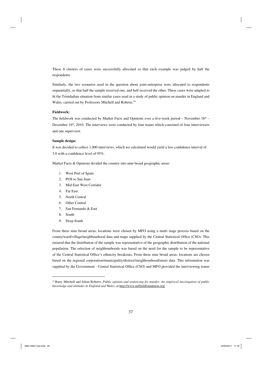These 8 clusters of cases were successfully allocated so that each example was judged by half the respondents.

Similarly, the two scenarios used in the question about joint-enterprise were allocated to respondents sequentially, so that half the sample received one, and half received the other. These cases were adapted to fit the Trinidadian situation from similar cases used in a study of public opinion on murder in England and Wales, carried out by Professors Mitchell and Roberts.<sup>24</sup>

#### **Fieldwork:**

The fieldwork was conducted by Market Facts and Opinions over a five-week period – November  $16<sup>th</sup>$  – December  $16<sup>th</sup>$ , 2010. The interviews were conducted by four teams which consisted of four interviewers and one supervisor.

#### **Sample design:**

It was decided to collect 1,000 interviews, which we calculated would yield a low confidence interval of 3.0 with a confidence level of  $95\%$ .

Market Facts & Opinions divided the country into nine broad geographic areas:

- 1. West Port of Spain
- 2. POS to San Juan
- 3. Mid East West Corridor
- 4. Far East
- 5. North Central
- 6. Other Central
- 7. San Fernando & East
- 8. South
- 9. Deep South

From these nine broad areas, locations were chosen by MFO using a multi stage process based on the county/ward/village/neighbourhood data and maps supplied by the Central Statistical Office (CSO). This ensured that the distribution of the sample was representative of the geographic distribution of the national population. The selection of neighbourhoods was based on the need for the sample to be representative of the Central Statistical Office's ethnicity breakouts. From these nine broad areas, locations are chosen based on the regional corporation/municipality/district//neighbourhood/street data. This information was supplied by the Government - Central Statistical Office (CSO) and MFO provided the interviewing teams

<sup>24</sup> Barry Mitchell and Julian Roberts, *Public opinion and sentencing for murder: An empirical investigation of public*  knowledge and attitudes in England and Wales, at http://www.nuffieldfoundaton.org/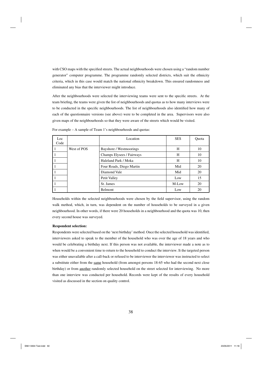with CSO maps with the specified streets. The actual neighbourhoods were chosen using a "random number generator" computer programme. The programme randomly selected districts, which suit the ethnicity criteria, which in this case would match the national ethnicity breakdown. This ensured randomness and eliminated any bias that the interviewer might introduce.

After the neighbourhoods were selected the interviewing teams were sent to the specific streets. At the team briefing, the teams were given the list of neighbourhoods and quotas as to how many interviews were to be conducted in the specific neighbourhoods. The list of neighbourhoods also identified how many of each of the questionnaire versions (see above) were to be completed in the area. Supervisors were also given maps of the neighbourhoods so that they were aware of the streets which would be visited.

| Loc            |             | Location                  | <b>SES</b> | Quota |
|----------------|-------------|---------------------------|------------|-------|
| Code           |             |                           |            |       |
|                | West of POS | Bayshore / Westmoorings   | H          | 10    |
|                |             | Champs Elysees / Fairways | H          | 10    |
| $\overline{1}$ |             | Haleland Park / Moka      | H          | 10    |
| $\overline{1}$ |             | Four Roads, Diego Martin  | Mid        | 20    |
| 1              |             | Diamond Vale              | Mid        | 20    |
|                |             | Petit Valley              | Low        | 15    |
|                |             | St. James                 | M-Low      | 20    |
| ' 1            |             | Belmont                   | Low        | 20    |

For example – A sample of Team 1's neighbourhoods and quotas:

Households within the selected neighbourhoods were chosen by the field supervisor, using the random walk method, which, in turn, was dependent on the number of households to be surveyed in a given neighbourhood. In other words, if there were 20 households in a neighbourhood and the quota was 10, then every second house was surveyed.

#### **Respondent selection:**

Respondents were selected based on the 'next birthday' method. Once the selected household was identified, interviewers asked to speak to the member of the household who was over the age of 18 years and who would be celebrating a birthday next. If this person was not available, the interviewer made a note as to when would be a convenient time to return to the household to conduct the interview. It the targeted person was either unavailable after a call-back or refused to be interviewer the interviewer was instructed to select a substitute either from the same household (from amongst persons 18-65 who had the second next close birthday) or from another randomly selected household on the street selected for interviewing. No more than one interview was conducted per household. Records were kept of the results of every household visited as discussed in the section on quality control.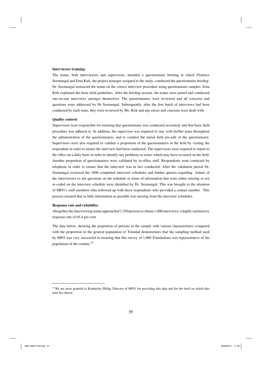#### **Interviewer training:**

The teams, both interviewers and supervisors, attended a questionnaire briefing at which Florence Seemungal and Erna Kirk, the project manager assigned to the study, conducted the questionnaire briefing. Dr. Seemungal instructed the teams on the correct interview procedure using questionnaire samples. Erna Kirk explained the basic field guidelines. After the briefing session, the teams were paired and conducted one-on-one interviews amongst themselves. The questionnaires were reviewed and all concerns and questions were addressed by Dr Seemungal. Subsequently, after the first batch of interviews had been conducted by each team, they were reviewed by Ms. Kirk and any errors and concerns were dealt with.

#### **Quality control:**

Supervisors were responsible for ensuring that questionnaire was conducted accurately and that basic field procedure was adhered to. In addition, the supervisor was required to stay with his/her team throughout the administration of the questionnaires, and to conduct the initial field pre-edit of the questionnaire. Supervisors were also required to validate a proportion of the questionnaires in the field by visiting the respondent in order to ensure the interview had been conducted. The supervisors were required to report to the office on a daily basis in order to identify any problems or issues which may have occurred on the field. Another proportion of questionnaires were validated by in-office staff. Respondents were contacted by telephone in order to ensure that the interview was in fact conducted. After the validation period Dr. Seemungal reviewed the 1000 completed interview schedules and further queries regarding failure of the interviewers to ask questions on the schedule or items of information that were either missing or not re-coded on the interview schedule were identified by Dr. Seemungal. This was brought to the attention of MFO's staff members who followed up with those respondents who provided a contact number. This process ensured that as little information as possible was missing from the interview schedules.

#### **Response rate and reliability:**

Altogether the interviewing teams approached 1,530 persons to obtain 1,000 interviews: a highly satisfactory response rate of 65.4 per cent.

The data below, showing the proportion of persons in the sample with various characteristics compared with the proportion in the general population of Trinidad demonstrates that the sampling method used by MFO was very successful in ensuring that this survey of 1,000 Trinidadians was representative of the population of the country.<sup>25</sup>

<sup>&</sup>lt;sup>25</sup> We are most grateful to Kimberley Philip, Director of MFO, for providing this data and for her draft on which this note has drawn.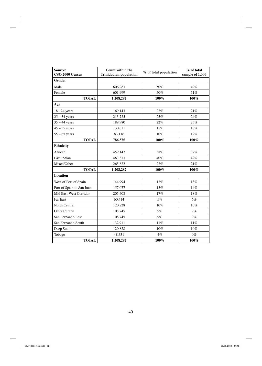| Source:<br>CSO 2000 Census | Count within the<br><b>Trinidadian population</b> | % of total population | % of total<br>sample of 1,000 |  |
|----------------------------|---------------------------------------------------|-----------------------|-------------------------------|--|
| Gender                     |                                                   |                       |                               |  |
| Male                       | 606,283                                           | 50%                   | 49%                           |  |
| Female                     | 601,999                                           | 50%                   | 51%                           |  |
| <b>TOTAL</b>               | 1,208,282                                         | $100\%$               | $100\%$                       |  |
| Age                        |                                                   |                       |                               |  |
| 18 - 24 years              | 169,143                                           | 22%                   | 21%                           |  |
| $25 - 34$ years            | 213,725                                           | 25%                   | 24%                           |  |
| $35 - 44$ years            | 189,980                                           | 22%                   | 25%                           |  |
| $45 - 55$ years            | 130,611                                           | 15%                   | 18%                           |  |
| $55 - 65$ years            | 83,116                                            | 10%                   | 12%                           |  |
| <b>TOTAL</b>               | 786,575                                           | 100%                  | $100\%$                       |  |
| <b>Ethnicity</b>           |                                                   |                       |                               |  |
| African                    | 459,147                                           | 38%                   | 37%                           |  |
| East Indian                | 483,313                                           | 40%                   | 42%                           |  |
| Mixed/Other                | 265,822                                           | 22%                   | 21%                           |  |
| <b>TOTAL</b>               | 1,208,282                                         | 100%                  | $100\%$                       |  |
| Location                   |                                                   |                       |                               |  |
| West of Port of Spain      | 144,994                                           | 12%                   | 13%                           |  |
| Port of Spain to San Juan  | 157,077                                           | 13%                   | 14%                           |  |
| Mid East-West Corridor     | 205,408                                           | 17%                   | 18%                           |  |
| Far East                   | 60,414                                            | 5%                    | 6%                            |  |
| North Central              | 120,828                                           | 10%                   | 10%                           |  |
| Other Central              | 108,745                                           | $9\%$                 | 9%                            |  |
| San Fernando East          | 108,745                                           | 9%                    | 9%                            |  |
| San Fernando South         | 132,911                                           | 11%                   | 11%                           |  |
| Deep South                 | 120,828                                           | 10%                   | $10\%$                        |  |
| Tobago                     | 48,331                                            | 4%                    | $0\%$                         |  |
| <b>TOTAL</b>               | 1,208,282                                         | 100%                  | $100\%$                       |  |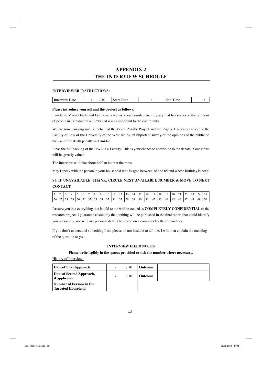# **APPENDIX 2 THE INTERVIEW SCHEDULE**

#### **INTERVIEWER INSTRUCTIONS:**

| -<br>U<br>.<br>---<br>----<br>the contract of the contract of the contract of<br>$\sim$ |
|-----------------------------------------------------------------------------------------|
|-----------------------------------------------------------------------------------------|

#### **Please introduce yourself and the project as follows:**

I am from Market Facts and Opinions, a well-known Trinidadian company that has surveyed the opinions of people in Trinidad on a number of issues important to the community.

We are now carrying out, on behalf of the Death Penalty Project and the Rights Advocacy Project of the Faculty of Law of the University of the West Indies, an important survey of the opinions of the public on the use of the death penalty in Trinidad.

It has the full backing of the UWI Law Faculty. This is your chance to contribute to the debate. Your views will be greatly valued.

The interview will take about half an hour at the most.

May I speak with the person in your household who is aged between 18 and 65 and whose birthday is next?

# S1. **IF UNAVAILABLE, THANK, CIRCLE NEXT AVAILABLE NUMBER & MOVE TO NEXT CONTACT**

|      |                      |    |              |    |     |     | o  | 10 |    |    |    | 14 | 15 | 16  | 17 | 18  | 19 | 20  | 21<br><u>_</u> | $\sim$ | 23 | 24 |    |
|------|----------------------|----|--------------|----|-----|-----|----|----|----|----|----|----|----|-----|----|-----|----|-----|----------------|--------|----|----|----|
| 26 l | $\mathcal{L}$<br>ا ت | 28 | $20^{\circ}$ | 30 | ے ر | 55. | 34 | 35 | 36 | 37 | 38 | 39 | 40 | -41 | 42 | -43 | 44 | -45 | 46             | 47     | 48 | 49 | 50 |

I assure you that everything that is told to me will be treated as **COMPLETELY CONFIDENTIAL** to the research project. I guarantee absolutely that nothing will be published in the final report that could identify you personally, nor will any personal details be stored on a computer by the researchers.

If you don't understand something I ask please do not hesitate to tell me. I will then explain the meaning of the question to you.

#### **INTERVIEW FIELD NOTES**

#### **Please write legibly in the spaces provided or tick the number where necessary.**

History of Interview:

| Date of First Approach                                | $^{\prime}$ 10 | <b>Outcome</b> |  |
|-------------------------------------------------------|----------------|----------------|--|
| Date of Second Approach,<br>if applicable             | $^{\prime}$ 10 | <b>Outcome</b> |  |
| Number of Persons in the<br><b>Targeted Household</b> |                |                |  |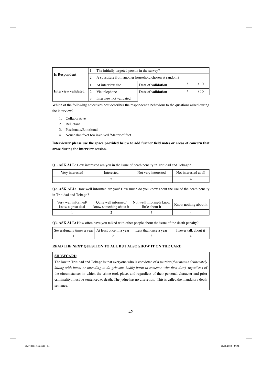|                      | The initially targeted person in the survey?          |  |  |     |  |  |  |  |  |
|----------------------|-------------------------------------------------------|--|--|-----|--|--|--|--|--|
| <b>Is Respondent</b> | A substitute from another household chosen at random? |  |  |     |  |  |  |  |  |
|                      | At interview site<br>Date of validation               |  |  | 710 |  |  |  |  |  |
| Interview validated  | Date of validation<br>Via telephone                   |  |  | 710 |  |  |  |  |  |
|                      | Interview not validated                               |  |  |     |  |  |  |  |  |

Which of the following adjectives best describes the respondent's behaviour to the questions asked during the interview?

- 1. Collaborative
- 2. Reluctant
- 3. Passionate/Emotional
- 4. Nonchalant/Not too involved /Matter of fact

Interviewer please use the space provided below to add further field notes or areas of concern that **arose during the interview session.**

……………………………………………………………………………………………………………….

#### Q1**. ASK ALL**: How interested are you in the issue of death penalty in Trinidad and Tobago?

| Very interested | Interested | Not very interested | Not interested at all |
|-----------------|------------|---------------------|-----------------------|
|                 |            |                     |                       |

Q2. **ASK ALL:** How well informed are you/ How much do you know about the use of the death penalty in Trinidad and Tobago?

| Very well informed/ | Ouite well informed/                | Not well informed/know | Know nothing about it |
|---------------------|-------------------------------------|------------------------|-----------------------|
| know a great deal   | know something about it $\parallel$ | little about it        |                       |
|                     |                                     |                        |                       |

Q3. **ASK ALL:** How often have you talked with other people about the issue of the death penalty?

| Several/many times a year   At least once in a year   Less than once a year |  | I never talk about it |
|-----------------------------------------------------------------------------|--|-----------------------|
|                                                                             |  |                       |

#### **READ THE NEXT QUESTION TO ALL BUT ALSO SHOW IT ON THE CARD**

#### **SHOWCARD**

The law in Trinidad and Tobago is that everyone who is convicted of a murder (*that means deliberately killing with intent or intending to do grievous bodily harm to someone who then dies),* regardless of the circumstances in which the crime took place, and regardless of their personal character and prior criminality, must be sentenced to death. The judge has no discretion. This is called the mandatory death sentence.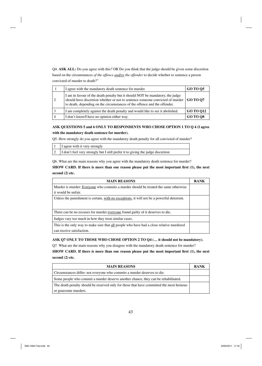Q4. **ASK ALL:** Do you agree with this? OR Do you think that the judge should be given some discretion based on the circumstances *of the offence and/or the offender* to decide whether to sentence a person convicted of murder to death?"

|   | I agree with the mandatory death sentence for murder.                                                                                                                                                                                       | <b>GO TO Q5</b>  |
|---|---------------------------------------------------------------------------------------------------------------------------------------------------------------------------------------------------------------------------------------------|------------------|
|   | I am in favour of the death penalty but it should NOT be mandatory, the judge<br>should have discretion whether or not to sentence someone convicted of murder<br>to death, depending on the circumstances of the offence and the offender. | <b>GO TO 07</b>  |
| 3 | I am completely against the death penalty and would like to see it abolished.                                                                                                                                                               | <b>GO TO 012</b> |
| 4 | I don't know/I have no opinion either way.                                                                                                                                                                                                  | <b>GO TO 08</b>  |

**ASK QUESTIONS 5 and 6 ONLY TO RESPONDENTS WHO CHOSE OPTION 1 TO Q 4 (I agree with the mandatory death sentence for murder).** 

Q5. How strongly do you agree with the mandatory death penalty for all convicted of murder?

| I agree with it very strongly                                                   |
|---------------------------------------------------------------------------------|
| I don't feel very strongly but I still prefer it to giving the judge discretion |

Q6. What are the main reasons why you agree with the mandatory death sentence for murder?

**SHOW CARD. If there is more than one reason please put the most important first (1), the next second (2) etc.**

| <b>MAIN REASONS</b>                                                                        | <b>RANK</b> |
|--------------------------------------------------------------------------------------------|-------------|
| Murder is murder: Everyone who commits a murder should be treated the same otherwise       |             |
| it would be unfair.                                                                        |             |
| Unless the punishment is certain, with no exceptions, it will not be a powerful deterrent. |             |
|                                                                                            |             |
| There can be no excuses for murder <u>everyone</u> found guilty of it deserves to die.     |             |
| Judges vary too much in how they treat similar cases.                                      |             |
| This is the only way to make sure that all people who have had a close relative murdered   |             |
| can receive satisfaction.                                                                  |             |

## **ASK Q7 ONLY TO THOSE WHO CHOSE OPTION 2 TO Q4 (… it should not be mandatory).**

Q7. What are the main reasons why you disagree with the mandatory death sentence for murder?

SHOW CARD. If there is more than one reason please put the most important first (1), the next **second (2) etc.**

| <b>MAIN REASONS</b>                                                                      | <b>RANK</b> |
|------------------------------------------------------------------------------------------|-------------|
| Circumstances differ: not everyone who commits a murder deserves to die.                 |             |
| Some people who commit a murder deserve another chance, they can be rehabilitated.       |             |
| The death penalty should be reserved only for those that have committed the most heinous |             |
| or gruesome murders.                                                                     |             |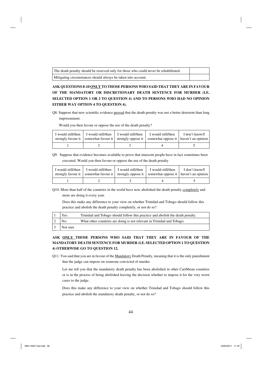| The death penalty should be reserved only for those who could never be rehabilitated. |  |
|---------------------------------------------------------------------------------------|--|
| Mitigating circumstances should always be taken into account.                         |  |

# **ASK QUESTIONS 8-10 ONLY TO THOSE PERSONS WHO SAID THAT THEY ARE IN FAVOUR OF THE MANDATORY OR DISCRETIONARY DEATH SENTENCE FOR MURDER (I.E. SELECTED OPTION 1 OR 2 TO QUESTION 4) AND TO PERSONS WHO HAD NO OPINION EITHER WAY OPTION 4 TO QUESTION 4).**

Q8. Suppose that new scientific evidence proved that the death penalty was not a better deterrent than long imprisonment.

Would you then favour or oppose the use of the death penalty?

| I would still/then | I would still/then   I would still/then | I would still/then<br>strongly favour it   somewhat favour it   strongly oppose it   somewhat oppose it   haven't an opinion | I don't know/I |
|--------------------|-----------------------------------------|------------------------------------------------------------------------------------------------------------------------------|----------------|
|                    |                                         |                                                                                                                              |                |

Q9. Suppose that evidence becomes available to prove that innocent people have in fact sometimes been executed. Would you then favour or oppose the use of the death penalty

| I would still/then | I would still/then I I would still/then | I would still/then<br>strongly favour it   somewhat favour it   strongly oppose it   somewhat oppose it   haven't an opinion | I don't know/I |
|--------------------|-----------------------------------------|------------------------------------------------------------------------------------------------------------------------------|----------------|
|                    |                                         |                                                                                                                              |                |

Q10. More than half of the countries in the world have now abolished the death penalty completely and more are doing it every year.

Does this make any difference to your view on whether Trinidad and Tobago should follow this practice and abolish the death penalty completely, or not do so?

| Yes:     | Trinidad and Tobago should follow this practice and abolish the death penalty. |
|----------|--------------------------------------------------------------------------------|
| No:      | What other countries are doing is not relevant in Trinidad and Tobago.         |
| Not sure |                                                                                |

# **ASK ONLY THOSE PERSONS WHO SAID THAT THEY ARE IN FAVOUR OF THE MANDATORY DEATH SENTENCE FOR MURDER (I.E. SELECTED OPTION 1 TO QUESTION 4) OTHERWISE GO TO QUESTION 12.**

Q11. You said that you are in favour of the Mandatory Death Penalty, meaning that it is the only punishment that the judge can impose on someone convicted of murder.

Let me tell you that the mandatory death penalty has been abolished in other Caribbean countries or is in the process of being abolished leaving the decision whether to impose it for the very worst cases to the judge.

Does this make any difference to your view on whether Trinidad and Tobago should follow this practice and abolish the mandatory death penalty, or not do so?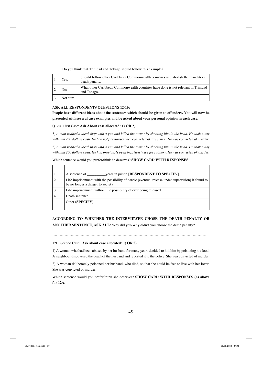| Yes:     | Should follow other Caribbean Commonwealth countries and abolish the mandatory<br>death penalty. |
|----------|--------------------------------------------------------------------------------------------------|
| No:      | What other Caribbean Commonwealth countries have done is not relevant in Trinidad<br>and Tobago. |
| Not sure |                                                                                                  |

Do you think that Trinidad and Tobago should follow this example?

#### **ASK ALL RESPONDENTS QUESTIONS 12-16:**

**People have different ideas about the sentences which should be given to offenders. You will now be presented with several case examples and be asked about your personal opinion in each case.**

Q12A. First Case: **Ask About case allocated: 1) OR 2).**

*1) A man robbed a local shop with a gun and killed the owner by shooting him in the head. He took away with him 200 dollars cash. He had not previously been convicted of any crime. He was convicted of murder.*

2) *A man robbed a local shop with a gun and killed the owner by shooting him in the head. He took away with him 200 dollars cash. He had previously been in prison twice for robbery. He was convicted of murder.*

Which sentence would you prefer/think he deserves? **SHOW CARD WITH RESPONSES**

| years in prison [RESPONDENT TO SPECIFY]<br>A sentence of                                                                              |
|---------------------------------------------------------------------------------------------------------------------------------------|
| Life imprisonment with the possibility of parole [eventual release under supervision] if found to<br>be no longer a danger to society |
| Life imprisonment without the possibility of ever being released                                                                      |
| Death sentence                                                                                                                        |
| Other (SPECIFY)                                                                                                                       |

**ACCORDING TO WHETHER THE INTERVIEWEE CHOSE THE DEATH PENALTY OR ANOTHER SENTENCE, ASK ALL:** Why did you/Why didn't you choose the death penalty?

……………………………………………………………………………………………………………..

12B. Second Case: **Ask about case allocated: 1) OR 2).**

1) A woman who had been abused by her husband for many years decided to kill him by poisoning his food. A neighbour discovered the death of the husband and reported it to the police. She was convicted of murder.

2) A woman deliberately poisoned her husband, who died, so that she could be free to live with her lover. She was convicted of murder.

Which sentence would you prefer/think she deserves? **SHOW CARD WITH RESPONSES (as above for 12A.**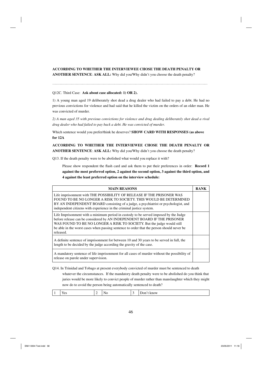### **ACCORDING TO WHETHER THE INTERVIEWEE CHOSE THE DEATH PENALTY OR**

**ANOTHER SENTENCE**: **ASK ALL:** Why did you/Why didn't you choose the death penalty?

#### Q12C. Third Case: **Ask about case allocated: 1) OR 2).**

1) A young man aged 19 deliberately shot dead a drug dealer who had failed to pay a debt. He had no previous convictions for violence and had said that he killed the victim on the orders of an older man. He was convicted of murder.

*2) A man aged 35 with previous convictions for violence and drug dealing deliberately shot dead a rival drug dealer who had failed to pay back a debt. He was convicted of murder.*

Which sentence would you prefer/think he deserves? **SHOW CARD WITH RESPONSES (as above for 12A**

**ACCORDING TO WHETHER THE INTERVIEWEE CHOSE THE DEATH PENALTY OR ANOTHER SENTENCE**: **ASK ALL:** Why did you/Why didn't you choose the death penalty?

Q13. If the death penalty were to be abolished what would you replace it with?

Please show respondent the flash card and ask them to put their preferences in order: **Record 1 against the most preferred option, 2 against the second option, 3 against the third option, and 4 against the least preferred option on the interview schedule:** 

| <b>MAIN REASONS</b>                                                                                                                                                                                                                                                                                                                                  | RANK |
|------------------------------------------------------------------------------------------------------------------------------------------------------------------------------------------------------------------------------------------------------------------------------------------------------------------------------------------------------|------|
| Life imprisonment with THE POSSIBILITY OF RELEASE IF THE PRISONER WAS<br>FOUND TO BE NO LONGER A RISK TO SOCIETY. THIS WOULD BE DETERMINED<br>BY AN INDEPENDENT BOARD consisting of a judge, a psychiatrist or psychologist, and<br>independent citizens with experience in the criminal justice system.                                             |      |
| Life Imprisonment with a minimum period in custody to be served imposed by the Judge<br>before release can be considered by AN INDEPENDENT BOARD IF THE PRISONER<br>WAS FOUND TO BE NO LONGER A RISK TO SOCIETY. But the judge would still<br>be able in the worst cases when passing sentence to order that the person should never be<br>released. |      |
| A definite sentence of imprisonment for between 10 and 30 years to be served in full, the<br>length to be decided by the judge according the gravity of the case.                                                                                                                                                                                    |      |
| A mandatory sentence of life imprisonment for all cases of murder without the possibility of<br>release on parole under supervision.                                                                                                                                                                                                                 |      |

Q14. In Trinidad and Tobago at present everybody convicted of murder must be sentenced to death

whatever the circumstances. If the mandatory death penalty were to be abolished do you think that juries would be more likely to convict people of murder rather than manslaughter which they might now do to avoid the person being automatically sentenced to death?

| в<br>$- - -$<br>Vac<br>.<br>'W<br>1 U.S<br>ັ<br>-<br>$\cdot$ ---- $\cdot$ |
|---------------------------------------------------------------------------|
|---------------------------------------------------------------------------|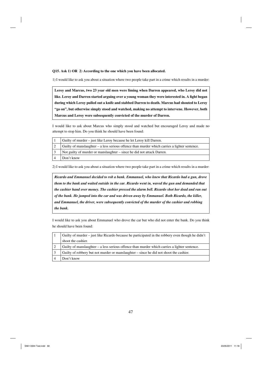**Q15. Ask 1) OR 2**) **According to the one which you have been allocated.**

1) I would like to ask you about a situation where two people take part in a crime which results in a murder:

**Leroy and Marcus, two 23 year old men were liming when Darren appeared, who Leroy did not**  like. Leroy and Darren started arguing over a young woman they were interested in. A fight began **during which Leroy pulled out a knife and stabbed Darren to death. Marcus had shouted to Leroy "go on", but otherwise simply stood and watched, making no attempt to intervene. However, both Marcus and Leroy were subsequently convicted of the murder of Darren.** 

I would like to ask about Marcus who simply stood and watched but encouraged Leroy and made no attempt to stop him. Do you think he should have been found:

| Guilty of murder – just like Leroy because he let Leroy kill Darren.                          |
|-----------------------------------------------------------------------------------------------|
| Guilty of manslaughter – a less serious offence than murder which carries a lighter sentence. |
| Not guilty of murder or manslaughter – since he did not attack Darren.                        |
| Don't know                                                                                    |

2) I would like to ask you about a situation where two people take part in a crime which results in a murder:

*Ricardo and Emmanuel decided to rob a bank. Emmanuel, who knew that Ricardo had a gun, drove them to the bank and waited outside in the car. Ricardo went in, waved the gun and demanded that the cashier hand over money. The cashier pressed the alarm bell. Ricardo shot her dead and ran out of the bank. He jumped into the car and was driven away by Emmanuel. Both Ricardo, the killer, and Emmanuel, the driver, were subsequently convicted of the murder of the cashier and robbing the bank.* 

I would like to ask you about Emmanuel who drove the car but who did not enter the bank. Do you think he should have been found:

| Guilty of murder – just like Ricardo because he participated in the robbery even though he didn't |
|---------------------------------------------------------------------------------------------------|
| shoot the cashier.                                                                                |
| Guilty of manslaughter – a less serious offence than murder which carries a lighter sentence.     |
| Guilty of robbery but not murder or manslaughter – since he did not shoot the cashier.            |
| Don't know                                                                                        |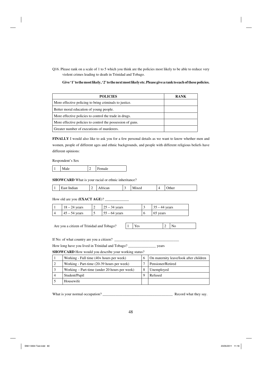Q16. Please rank on a scale of 1 to 5 which you think are the policies most likely to be able to reduce very violent crimes leading to death in Trinidad and Tobago.

**Give '1' to the most likely, '2' to the next most likely etc. Please give a rank to each of these policies.** 

| <b>POLICIES</b>                                            | <b>RANK</b> |
|------------------------------------------------------------|-------------|
| More effective policing to bring criminals to justice.     |             |
| Better moral education of young people.                    |             |
| More effective policies to control the trade in drugs.     |             |
| More effective policies to control the possession of guns. |             |
| Greater number of executions of murderers.                 |             |

**FINALLY** I would also like to ask you for a few personal details as we want to know whether men and women, people of different ages and ethnic backgrounds, and people with different religious beliefs have different opinions:

Respondent's Sex

|--|

**SHOWCARD** What is your racial or ethnic inheritance?

| ther<br><b>A 200 200</b><br>mund<br>$-$ un<br>$\sim$ 4<br>. . |
|---------------------------------------------------------------|
|---------------------------------------------------------------|

How old are you (**EXACT AGE**)? \_\_\_\_\_\_\_\_\_\_\_\_\_

| $18 - 24$ years | ∸ | $\vert 25 - 34$ years               | $35 - 44$ years |
|-----------------|---|-------------------------------------|-----------------|
| $45 - 54$ years |   | $\vert 55 - 64 \text{ years} \vert$ | 65 years        |

Are you a citizen of Trinidad and Tobago?  $|1$ 

If No: of what country are you a citizen?

How long have you lived in Trinidad and Tobago? \_\_\_\_\_\_\_\_\_\_\_\_\_\_\_ years

**SHOWCARD** How would you describe your working status?

| Working - Full time $(40+)$ hours per week)   | . 6 | On maternity leave/look after children |
|-----------------------------------------------|-----|----------------------------------------|
| Working - Part-time (20-39 hours per week)    |     | Pensioner/Retired                      |
| Working – Part-time (under 20 hours per week) |     | Unemployed                             |
| Student/Pupil                                 |     | Refused                                |
| Housewife                                     |     |                                        |

What is your normal occupation? \_\_\_\_\_\_\_\_\_\_\_\_\_\_\_\_\_\_\_\_\_\_\_\_\_\_\_\_\_\_\_\_\_\_\_\_\_\_ Record what they say.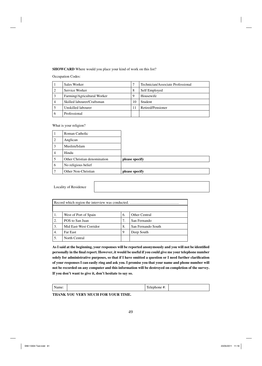#### **SHOWCARD** Where would you place your kind of work on this list?

Occupation Codes:

|   | Sales Worker                |       | Technician/Associate Professional |
|---|-----------------------------|-------|-----------------------------------|
|   | Service Worker              | 8     | Self Employed                     |
|   | Farming/Agricultural Worker | 9     | Housewife                         |
| 4 | Skilled labourer/Craftsman  | I ( ) | Student                           |
|   | Unskilled labourer          |       | Retired/Pensioner                 |
|   | Professional                |       |                                   |

What is your religion?

|   | Roman Catholic               |                |
|---|------------------------------|----------------|
| 2 | Anglican                     |                |
| 3 | Muslim/Islam                 |                |
| 4 | Hindu                        |                |
| 5 | Other Christian denomination | please specify |
| 6 | No religious belief          |                |
|   | Other Non-Christian          | please specify |

Locality of Residence

| 1. | West of Port of Spain  | 6. | <b>Other Central</b> |  |  |  |
|----|------------------------|----|----------------------|--|--|--|
| 2. | POS to San Juan        | 7. | San Fernando         |  |  |  |
| 3. | Mid East-West Corridor | 8. | San Fernando South   |  |  |  |
| 4. | <b>Far East</b>        | 9  | Deep South           |  |  |  |
| 5. | North Central          |    |                      |  |  |  |

As I said at the beginning, your responses will be reported anonymously and you will not be identified personally in the final report. However, it would be useful if you could give me your telephone number solely for administrative purposes, so that if I have omitted a question or I need further clarification **of your responses I can easily ring and ask you. I promise you that your name and phone number will not be recorded on any computer and this information will be destroyed on completion of the survey. If you don't want to give it, don't hesitate to say so.**

| --- - -<br>чіс. | . .<br>π. |  |
|-----------------|-----------|--|
|                 |           |  |

**THANK YOU VERY MUCH FOR YOUR TIME.**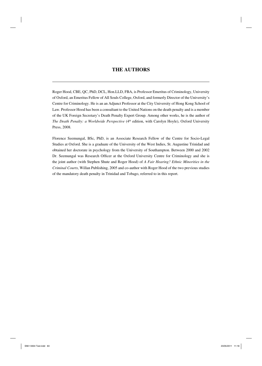# **THE AUTHORS**

Roger Hood, CBE, QC, PhD, DCL, Hon.LLD, FBA, is Professor Emeritus of Criminology, University of Oxford, an Emeritus Fellow of All Souls College, Oxford, and formerly Director of the University's Centre for Criminology. He is an an Adjunct Professor at the City University of Hong Kong School of Law. Professor Hood has been a consultant to the United Nations on the death penalty and is a member of the UK Foreign Secretary's Death Penalty Expert Group. Among other works, he is the author of *The Death Penalty: a Worldwide Perspective* (4<sup>th</sup> edition, with Carolyn Hoyle), Oxford University Press, 2008.

Florence Seemungal, BSc, PhD, is an Associate Research Fellow of the Centre for Socio-Legal Studies at Oxford. She is a graduate of the University of the West Indies, St. Augustine Trinidad and obtained her doctorate in psychology from the University of Southampton. Between 2000 and 2002 Dr. Seemungal was Research Officer at the Oxford University Centre for Criminology and she is the joint author (with Stephen Shute and Roger Hood) of *A Fair Hearing? Ethnic Minorities in the Criminal Courts*, Willan Publishing, 2005 and co-author with Roger Hood of the two previous studies of the mandatory death penalty in Trinidad and Tobago, referred to in this report.